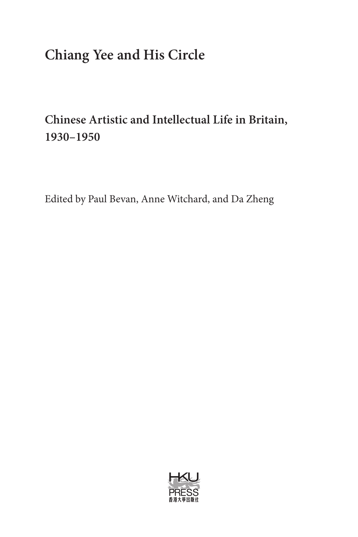# **Chiang Yee and His Circle**

### **Chinese Artistic and Intellectual Life in Britain, 1930–1950**

Edited by Paul Bevan, Anne Witchard, and Da Zheng

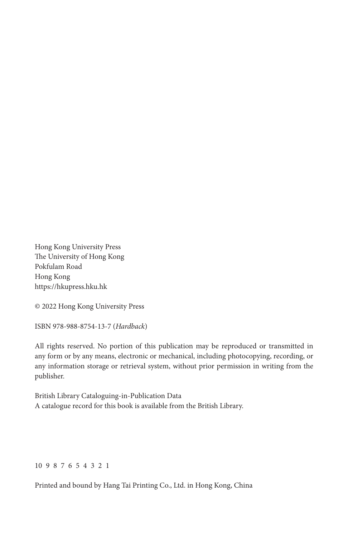Hong Kong University Press The University of Hong Kong Pokfulam Road Hong Kong https://hkupress.hku.hk

© 2022 Hong Kong University Press

ISBN 978-988-8754-13-7 (*Hardback*)

All rights reserved. No portion of this publication may be reproduced or transmitted in any form or by any means, electronic or mechanical, including photocopying, recording, or any information storage or retrieval system, without prior permission in writing from the publisher.

British Library Cataloguing-in-Publication Data A catalogue record for this book is available from the British Library.

#### 10 9 8 7 6 5 4 3 2 1

Printed and bound by Hang Tai Printing Co., Ltd. in Hong Kong, China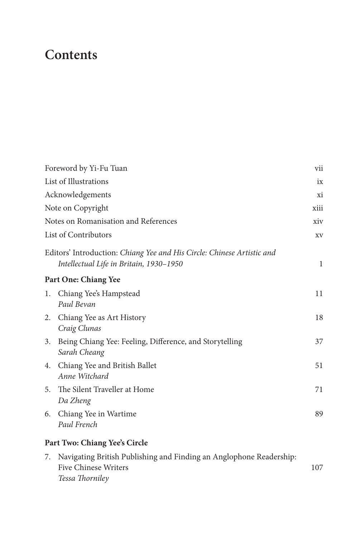### **Contents**

|    | Foreword by Yi-Fu Tuan                                                                                            | vii  |
|----|-------------------------------------------------------------------------------------------------------------------|------|
|    | List of Illustrations                                                                                             | ix   |
|    | Acknowledgements                                                                                                  | хi   |
|    | Note on Copyright                                                                                                 | xiii |
|    | Notes on Romanisation and References                                                                              |      |
|    | List of Contributors                                                                                              | XV   |
|    | Editors' Introduction: Chiang Yee and His Circle: Chinese Artistic and<br>Intellectual Life in Britain, 1930-1950 | 1    |
|    | Part One: Chiang Yee                                                                                              |      |
|    | 1. Chiang Yee's Hampstead<br>Paul Bevan                                                                           | 11   |
| 2. | Chiang Yee as Art History<br>Craig Clunas                                                                         | 18   |
| 3. | Being Chiang Yee: Feeling, Difference, and Storytelling<br>Sarah Cheang                                           | 37   |
| 4. | Chiang Yee and British Ballet<br>Anne Witchard                                                                    | 51   |
|    | 5. The Silent Traveller at Home<br>Da Zheng                                                                       | 71   |
|    | 6. Chiang Yee in Wartime<br>Paul French                                                                           | 89   |
|    | Part Two: Chiang Yee's Circle                                                                                     |      |
| 7. | Navigating British Publishing and Finding an Anglophone Readership:<br><b>Five Chinese Writers</b>                | 107  |

*Tessa Thorniley*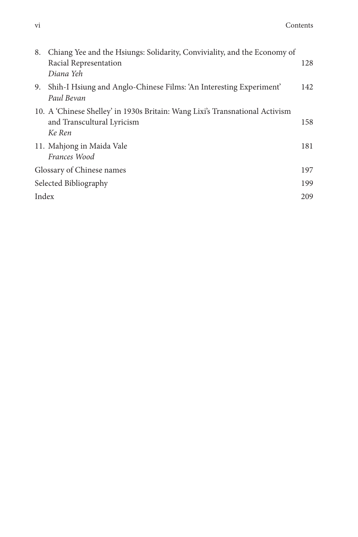| 8.    | Chiang Yee and the Hsiungs: Solidarity, Conviviality, and the Economy of     |     |
|-------|------------------------------------------------------------------------------|-----|
|       | Racial Representation                                                        | 128 |
|       | Diana Yeh                                                                    |     |
| 9.    | Shih-I Hsiung and Anglo-Chinese Films: 'An Interesting Experiment'           | 142 |
|       | Paul Bevan                                                                   |     |
|       | 10. A 'Chinese Shelley' in 1930s Britain: Wang Lixi's Transnational Activism |     |
|       | and Transcultural Lyricism                                                   | 158 |
|       | Ke Ren                                                                       |     |
|       | 11. Mahjong in Maida Vale                                                    | 181 |
|       | Frances Wood                                                                 |     |
|       | Glossary of Chinese names                                                    |     |
|       | Selected Bibliography                                                        | 199 |
| Index |                                                                              | 209 |
|       |                                                                              |     |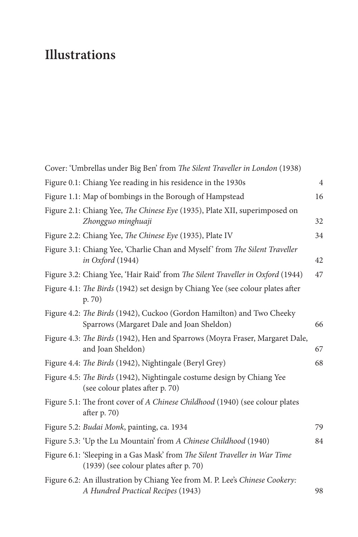### **Illustrations**

| Cover: 'Umbrellas under Big Ben' from The Silent Traveller in London (1938)                                          |                |
|----------------------------------------------------------------------------------------------------------------------|----------------|
| Figure 0.1: Chiang Yee reading in his residence in the 1930s                                                         | $\overline{4}$ |
| Figure 1.1: Map of bombings in the Borough of Hampstead                                                              | 16             |
| Figure 2.1: Chiang Yee, The Chinese Eye (1935), Plate XII, superimposed on<br>Zhongguo minghuaji                     | 32             |
| Figure 2.2: Chiang Yee, The Chinese Eye (1935), Plate IV                                                             | 34             |
| Figure 3.1: Chiang Yee, 'Charlie Chan and Myself' from The Silent Traveller<br><i>in Oxford</i> (1944)               | 42             |
| Figure 3.2: Chiang Yee, 'Hair Raid' from The Silent Traveller in Oxford (1944)                                       | 47             |
| Figure 4.1: The Birds (1942) set design by Chiang Yee (see colour plates after<br>p. 70)                             |                |
| Figure 4.2: The Birds (1942), Cuckoo (Gordon Hamilton) and Two Cheeky<br>Sparrows (Margaret Dale and Joan Sheldon)   | 66             |
| Figure 4.3: The Birds (1942), Hen and Sparrows (Moyra Fraser, Margaret Dale,<br>and Joan Sheldon)                    | 67             |
| Figure 4.4: The Birds (1942), Nightingale (Beryl Grey)                                                               | 68             |
| Figure 4.5: The Birds (1942), Nightingale costume design by Chiang Yee<br>(see colour plates after p. 70)            |                |
| Figure 5.1: The front cover of A Chinese Childhood (1940) (see colour plates<br>after p. 70)                         |                |
| Figure 5.2: Budai Monk, painting, ca. 1934                                                                           | 79             |
| Figure 5.3: 'Up the Lu Mountain' from A Chinese Childhood (1940)                                                     | 84             |
| Figure 6.1: 'Sleeping in a Gas Mask' from The Silent Traveller in War Time<br>(1939) (see colour plates after p. 70) |                |
| Figure 6.2: An illustration by Chiang Yee from M. P. Lee's Chinese Cookery:<br>A Hundred Practical Recipes (1943)    | 98             |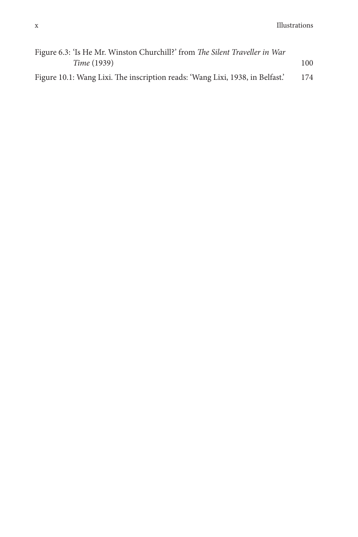| Figure 6.3: 'Is He Mr. Winston Churchill?' from The Silent Traveller in War   |      |
|-------------------------------------------------------------------------------|------|
| <i>Time</i> (1939)                                                            | 100. |
| Figure 10.1: Wang Lixi. The inscription reads: 'Wang Lixi, 1938, in Belfast.' | 174  |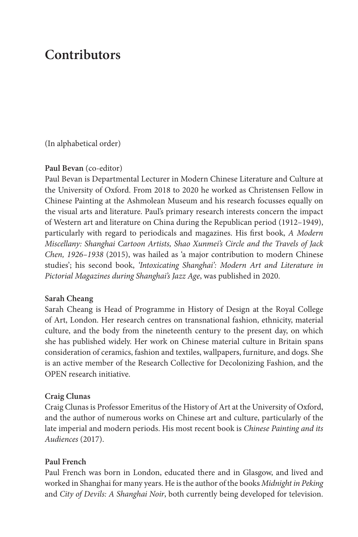### **Contributors**

(In alphabetical order)

#### **Paul Bevan** (co-editor)

Paul Bevan is Departmental Lecturer in Modern Chinese Literature and Culture at the University of Oxford. From 2018 to 2020 he worked as Christensen Fellow in Chinese Painting at the Ashmolean Museum and his research focusses equally on the visual arts and literature. Paul's primary research interests concern the impact of Western art and literature on China during the Republican period (1912–1949), particularly with regard to periodicals and magazines. His first book, *A Modern Miscellany: Shanghai Cartoon Artists, Shao Xunmei's Circle and the Travels of Jack Chen, 1926–1938* (2015), was hailed as 'a major contribution to modern Chinese studies'; his second book, *'Intoxicating Shanghai': Modern Art and Literature in Pictorial Magazines during Shanghai's Jazz Age*, was published in 2020.

#### **Sarah Cheang**

Sarah Cheang is Head of Programme in History of Design at the Royal College of Art, London. Her research centres on transnational fashion, ethnicity, material culture, and the body from the nineteenth century to the present day, on which she has published widely. Her work on Chinese material culture in Britain spans consideration of ceramics, fashion and textiles, wallpapers, furniture, and dogs. She is an active member of the Research Collective for Decolonizing Fashion, and the OPEN research initiative.

#### **Craig Clunas**

Craig Clunas is Professor Emeritus of the History of Art at the University of Oxford, and the author of numerous works on Chinese art and culture, particularly of the late imperial and modern periods. His most recent book is *Chinese Painting and its Audiences* (2017).

#### **Paul French**

Paul French was born in London, educated there and in Glasgow, and lived and worked in Shanghai for many years. He is the author of the books *Midnight in Peking* and *City of Devils: A Shanghai Noir*, both currently being developed for television.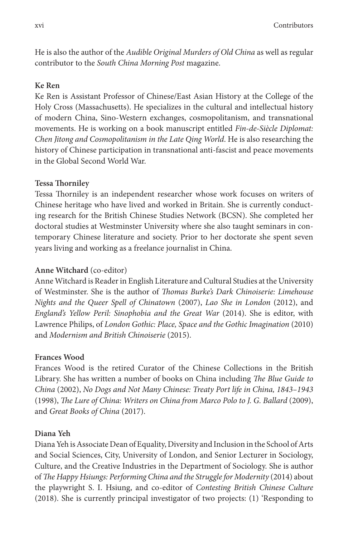He is also the author of the *Audible Original Murders of Old China* as well as regular contributor to the *South China Morning Post* magazine.

#### **Ke Ren**

Ke Ren is Assistant Professor of Chinese/East Asian History at the College of the Holy Cross (Massachusetts). He specializes in the cultural and intellectual history of modern China, Sino-Western exchanges, cosmopolitanism, and transnational movements. He is working on a book manuscript entitled *Fin-de-Siècle Diplomat: Chen Jitong and Cosmopolitanism in the Late Qing World*. He is also researching the history of Chinese participation in transnational anti-fascist and peace movements in the Global Second World War.

#### **Tessa Thorniley**

Tessa Thorniley is an independent researcher whose work focuses on writers of Chinese heritage who have lived and worked in Britain. She is currently conducting research for the British Chinese Studies Network (BCSN). She completed her doctoral studies at Westminster University where she also taught seminars in contemporary Chinese literature and society. Prior to her doctorate she spent seven years living and working as a freelance journalist in China.

#### **Anne Witchard** (co-editor)

Anne Witchard is Reader in English Literature and Cultural Studies at the University of Westminster. She is the author of *Thomas Burke's Dark Chinoiserie: Limehouse Nights and the Queer Spell of Chinatown* (2007), *Lao She in London* (2012), and *England's Yellow Peril: Sinophobia and the Great War* (2014). She is editor, with Lawrence Philips, of *London Gothic: Place, Space and the Gothic Imagination* (2010) and *Modernism and British Chinoiserie* (2015).

#### **Frances Wood**

Frances Wood is the retired Curator of the Chinese Collections in the British Library. She has written a number of books on China including *The Blue Guide to China* (2002), *No Dogs and Not Many Chinese: Treaty Port life in China, 1843–1943* (1998), *The Lure of China: Writers on China from Marco Polo to J. G. Ballard* (2009), and *Great Books of China* (2017).

#### **Diana Yeh**

Diana Yeh is Associate Dean of Equality, Diversity and Inclusion in the School of Arts and Social Sciences, City, University of London, and Senior Lecturer in Sociology, Culture, and the Creative Industries in the Department of Sociology. She is author of *The Happy Hsiungs: Performing China and the Struggle for Modernity* (2014) about the playwright S. I. Hsiung, and co-editor of *Contesting British Chinese Culture* (2018). She is currently principal investigator of two projects: (1) 'Responding to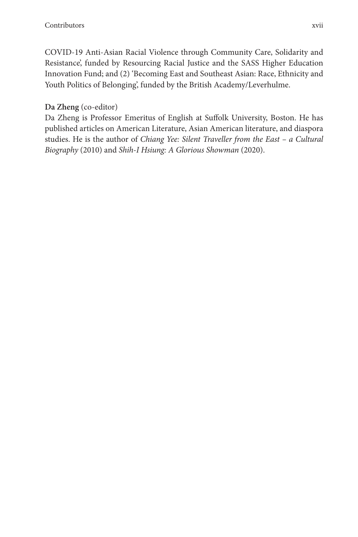COVID-19 Anti-Asian Racial Violence through Community Care, Solidarity and Resistance', funded by Resourcing Racial Justice and the SASS Higher Education Innovation Fund; and (2) 'Becoming East and Southeast Asian: Race, Ethnicity and Youth Politics of Belonging', funded by the British Academy/Leverhulme.

#### **Da Zheng** (co-editor)

Da Zheng is Professor Emeritus of English at Suffolk University, Boston. He has published articles on American Literature, Asian American literature, and diaspora studies. He is the author of *Chiang Yee: Silent Traveller from the East – a Cultural Biography* (2010) and *Shih-I Hsiung: A Glorious Showman* (2020).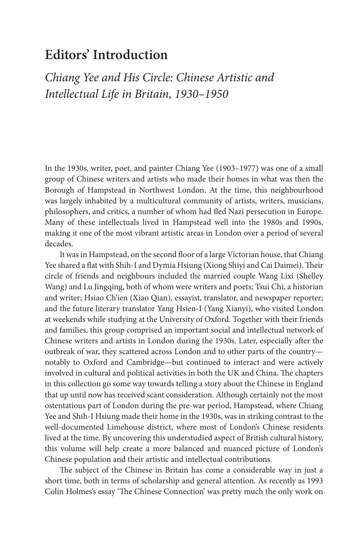### **Editors' Introduction**

*Chiang Yee and His Circle: Chinese Artistic and Intellectual Life in Britain, 1930–1950*

In the 1930s, writer, poet, and painter Chiang Yee (1903–1977) was one of a small group of Chinese writers and artists who made their homes in what was then the Borough of Hampstead in Northwest London. At the time, this neighbourhood was largely inhabited by a multicultural community of artists, writers, musicians, philosophers, and critics, a number of whom had fled Nazi persecution in Europe. Many of these intellectuals lived in Hampstead well into the 1980s and 1990s, making it one of the most vibrant artistic areas in London over a period of several decades.

It was in Hampstead, on the second floor of a large Victorian house, that Chiang Yee shared a flat with Shih-I and Dymia Hsiung (Xiong Shiyi and Cai Daimei). Their circle of friends and neighbours included the married couple Wang Lixi (Shelley Wang) and Lu Jingqing, both of whom were writers and poets; Tsui Chi, a historian and writer; Hsiao Ch'ien (Xiao Qian), essayist, translator, and newspaper reporter; and the future literary translator Yang Hsien-I (Yang Xianyi), who visited London at weekends while studying at the University of Oxford. Together with their friends and families, this group comprised an important social and intellectual network of Chinese writers and artists in London during the 1930s. Later, especially after the outbreak of war, they scattered across London and to other parts of the country notably to Oxford and Cambridge—but continued to interact and were actively involved in cultural and political activities in both the UK and China. The chapters in this collection go some way towards telling a story about the Chinese in England that up until now has received scant consideration. Although certainly not the most ostentatious part of London during the pre-war period, Hampstead, where Chiang Yee and Shih-I Hsiung made their home in the 1930s, was in striking contrast to the well-documented Limehouse district, where most of London's Chinese residents lived at the time. By uncovering this understudied aspect of British cultural history, this volume will help create a more balanced and nuanced picture of London's Chinese population and their artistic and intellectual contributions.

The subject of the Chinese in Britain has come a considerable way in just a short time, both in terms of scholarship and general attention. As recently as 1993 Colin Holmes's essay 'The Chinese Connection' was pretty much the only work on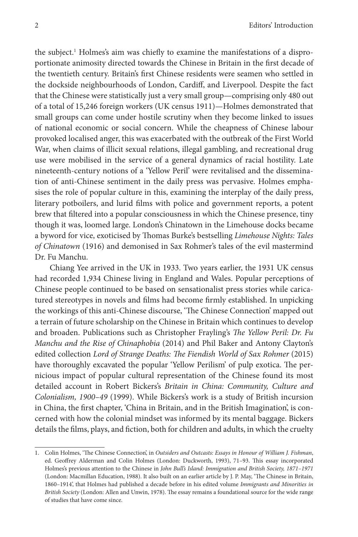the subject.<sup>1</sup> Holmes's aim was chiefly to examine the manifestations of a disproportionate animosity directed towards the Chinese in Britain in the first decade of the twentieth century. Britain's first Chinese residents were seamen who settled in the dockside neighbourhoods of London, Cardiff, and Liverpool. Despite the fact that the Chinese were statistically just a very small group—comprising only 480 out of a total of 15,246 foreign workers (UK census 1911)—Holmes demonstrated that small groups can come under hostile scrutiny when they become linked to issues of national economic or social concern. While the cheapness of Chinese labour provoked localised anger, this was exacerbated with the outbreak of the First World War, when claims of illicit sexual relations, illegal gambling, and recreational drug use were mobilised in the service of a general dynamics of racial hostility. Late nineteenth-century notions of a 'Yellow Peril' were revitalised and the dissemination of anti-Chinese sentiment in the daily press was pervasive. Holmes emphasises the role of popular culture in this, examining the interplay of the daily press, literary potboilers, and lurid films with police and government reports, a potent brew that filtered into a popular consciousness in which the Chinese presence, tiny though it was, loomed large. London's Chinatown in the Limehouse docks became a byword for vice, exoticised by Thomas Burke's bestselling *Limehouse Nights: Tales of Chinatown* (1916) and demonised in Sax Rohmer's tales of the evil mastermind Dr. Fu Manchu.

Chiang Yee arrived in the UK in 1933. Two years earlier, the 1931 UK census had recorded 1,934 Chinese living in England and Wales. Popular perceptions of Chinese people continued to be based on sensationalist press stories while caricatured stereotypes in novels and films had become firmly established. In unpicking the workings of this anti-Chinese discourse, 'The Chinese Connection' mapped out a terrain of future scholarship on the Chinese in Britain which continues to develop and broaden. Publications such as Christopher Frayling's *The Yellow Peril: Dr. Fu Manchu and the Rise of Chinaphobia* (2014) and Phil Baker and Antony Clayton's edited collection *Lord of Strange Deaths: The Fiendish World of Sax Rohmer* (2015) have thoroughly excavated the popular 'Yellow Perilism' of pulp exotica. The pernicious impact of popular cultural representation of the Chinese found its most detailed account in Robert Bickers's *Britain in China: Community, Culture and Colonialism, 1900–49* (1999). While Bickers's work is a study of British incursion in China, the first chapter, 'China in Britain, and in the British Imagination', is concerned with how the colonial mindset was informed by its mental baggage. Bickers details the films, plays, and fiction, both for children and adults, in which the cruelty

<sup>1.</sup> Colin Holmes, 'The Chinese Connection', in *Outsiders and Outcasts: Essays in Honour of William J. Fishman*, ed. Geoffrey Alderman and Colin Holmes (London: Duckworth, 1993), 71–93. This essay incorporated Holmes's previous attention to the Chinese in *John Bull's Island: Immigration and British Society, 1871–1971* (London: Macmillan Education, 1988). It also built on an earlier article by J. P. May, 'The Chinese in Britain, 1860–1914', that Holmes had published a decade before in his edited volume *Immigrants and Minorities in British Society* (London: Allen and Unwin, 1978). The essay remains a foundational source for the wide range of studies that have come since.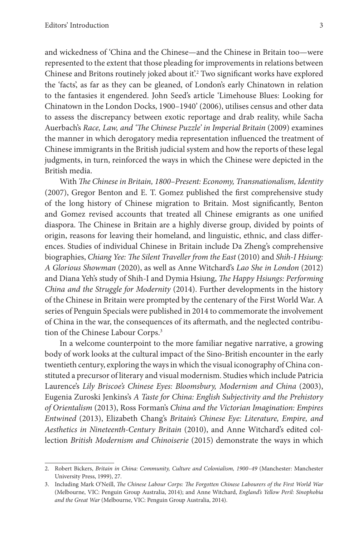and wickedness of 'China and the Chinese—and the Chinese in Britain too—were represented to the extent that those pleading for improvements in relations between Chinese and Britons routinely joked about it'.2 Two significant works have explored the 'facts', as far as they can be gleaned, of London's early Chinatown in relation to the fantasies it engendered. John Seed's article 'Limehouse Blues: Looking for Chinatown in the London Docks, 1900–1940' (2006), utilises census and other data to assess the discrepancy between exotic reportage and drab reality, while Sacha Auerbach's *Race, Law, and 'The Chinese Puzzle' in Imperial Britain* (2009) examines the manner in which derogatory media representation influenced the treatment of Chinese immigrants in the British judicial system and how the reports of these legal judgments, in turn, reinforced the ways in which the Chinese were depicted in the British media.

With *The Chinese in Britain, 1800–Present: Economy, Transnationalism, Identity* (2007), Gregor Benton and E. T. Gomez published the first comprehensive study of the long history of Chinese migration to Britain. Most significantly, Benton and Gomez revised accounts that treated all Chinese emigrants as one unified diaspora. The Chinese in Britain are a highly diverse group, divided by points of origin, reasons for leaving their homeland, and linguistic, ethnic, and class differences. Studies of individual Chinese in Britain include Da Zheng's comprehensive biographies, *Chiang Yee: The Silent Traveller from the East* (2010) and *Shih-I Hsiung: A Glorious Showman* (2020), as well as Anne Witchard's *Lao She in London* (2012) and Diana Yeh's study of Shih-I and Dymia Hsiung, *The Happy Hsiungs: Performing China and the Struggle for Modernity* (2014). Further developments in the history of the Chinese in Britain were prompted by the centenary of the First World War. A series of Penguin Specials were published in 2014 to commemorate the involvement of China in the war, the consequences of its aftermath, and the neglected contribution of the Chinese Labour Corps.3

In a welcome counterpoint to the more familiar negative narrative, a growing body of work looks at the cultural impact of the Sino-British encounter in the early twentieth century, exploring the ways in which the visual iconography of China constituted a precursor of literary and visual modernism. Studies which include Patricia Laurence's *Lily Briscoe's Chinese Eyes: Bloomsbury, Modernism and China* (2003), Eugenia Zuroski Jenkins's *A Taste for China: English Subjectivity and the Prehistory of Orientalism* (2013), Ross Forman's *China and the Victorian Imagination: Empires Entwined* (2013), Elizabeth Chang's *Britain's Chinese Eye: Literature, Empire, and Aesthetics in Nineteenth-Century Britain* (2010), and Anne Witchard's edited collection *British Modernism and Chinoiserie* (2015) demonstrate the ways in which

<sup>2.</sup> Robert Bickers, *Britain in China: Community, Culture and Colonialism, 1900–49* (Manchester: Manchester University Press, 1999), 27.

<sup>3.</sup> Including Mark O'Neill, *The Chinese Labour Corps: The Forgotten Chinese Labourers of the First World War* (Melbourne, VIC: Penguin Group Australia, 2014); and Anne Witchard, *England's Yellow Peril: Sinophobia and the Great War* (Melbourne, VIC: Penguin Group Australia, 2014).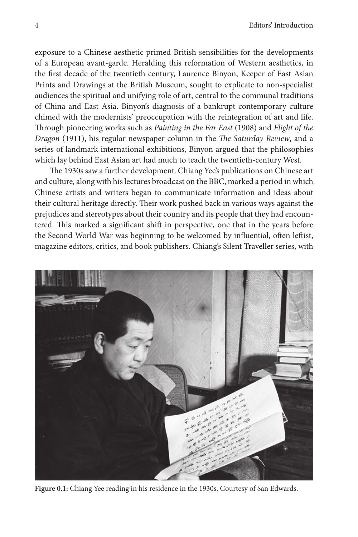exposure to a Chinese aesthetic primed British sensibilities for the developments of a European avant-garde. Heralding this reformation of Western aesthetics, in the first decade of the twentieth century, Laurence Binyon, Keeper of East Asian Prints and Drawings at the British Museum, sought to explicate to non-specialist audiences the spiritual and unifying role of art, central to the communal traditions of China and East Asia. Binyon's diagnosis of a bankrupt contemporary culture chimed with the modernists' preoccupation with the reintegration of art and life. Through pioneering works such as *Painting in the Far East* (1908) and *Flight of the Dragon* (1911), his regular newspaper column in the *The Saturday Review*, and a series of landmark international exhibitions, Binyon argued that the philosophies which lay behind East Asian art had much to teach the twentieth-century West.

The 1930s saw a further development. Chiang Yee's publications on Chinese art and culture, along with his lectures broadcast on the BBC, marked a period in which Chinese artists and writers began to communicate information and ideas about their cultural heritage directly. Their work pushed back in various ways against the prejudices and stereotypes about their country and its people that they had encountered. This marked a significant shift in perspective, one that in the years before the Second World War was beginning to be welcomed by influential, often leftist, magazine editors, critics, and book publishers. Chiang's Silent Traveller series, with



**Figure 0.1:** Chiang Yee reading in his residence in the 1930s. Courtesy of San Edwards.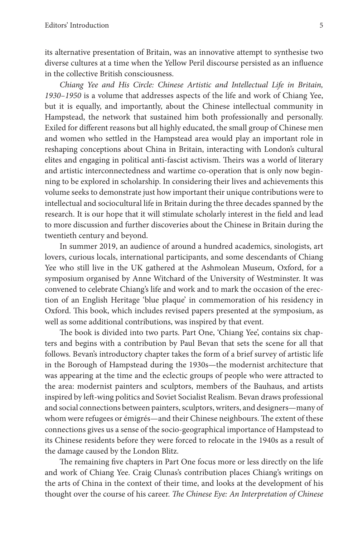its alternative presentation of Britain, was an innovative attempt to synthesise two diverse cultures at a time when the Yellow Peril discourse persisted as an influence in the collective British consciousness.

*Chiang Yee and His Circle: Chinese Artistic and Intellectual Life in Britain, 1930–1950* is a volume that addresses aspects of the life and work of Chiang Yee, but it is equally, and importantly, about the Chinese intellectual community in Hampstead, the network that sustained him both professionally and personally. Exiled for different reasons but all highly educated, the small group of Chinese men and women who settled in the Hampstead area would play an important role in reshaping conceptions about China in Britain, interacting with London's cultural elites and engaging in political anti-fascist activism. Theirs was a world of literary and artistic interconnectedness and wartime co-operation that is only now beginning to be explored in scholarship. In considering their lives and achievements this volume seeks to demonstrate just how important their unique contributions were to intellectual and sociocultural life in Britain during the three decades spanned by the research. It is our hope that it will stimulate scholarly interest in the field and lead to more discussion and further discoveries about the Chinese in Britain during the twentieth century and beyond.

In summer 2019, an audience of around a hundred academics, sinologists, art lovers, curious locals, international participants, and some descendants of Chiang Yee who still live in the UK gathered at the Ashmolean Museum, Oxford, for a symposium organised by Anne Witchard of the University of Westminster. It was convened to celebrate Chiang's life and work and to mark the occasion of the erection of an English Heritage 'blue plaque' in commemoration of his residency in Oxford. This book, which includes revised papers presented at the symposium, as well as some additional contributions, was inspired by that event.

The book is divided into two parts. Part One, 'Chiang Yee', contains six chapters and begins with a contribution by Paul Bevan that sets the scene for all that follows. Bevan's introductory chapter takes the form of a brief survey of artistic life in the Borough of Hampstead during the 1930s—the modernist architecture that was appearing at the time and the eclectic groups of people who were attracted to the area: modernist painters and sculptors, members of the Bauhaus, and artists inspired by left-wing politics and Soviet Socialist Realism. Bevan draws professional and social connections between painters, sculptors, writers, and designers—many of whom were refugees or émigrés—and their Chinese neighbours. The extent of these connections gives us a sense of the socio-geographical importance of Hampstead to its Chinese residents before they were forced to relocate in the 1940s as a result of the damage caused by the London Blitz.

The remaining five chapters in Part One focus more or less directly on the life and work of Chiang Yee. Craig Clunas's contribution places Chiang's writings on the arts of China in the context of their time, and looks at the development of his thought over the course of his career. *The Chinese Eye: An Interpretation of Chinese*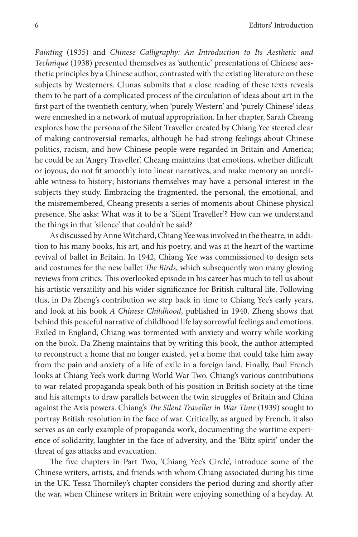*Painting* (1935) and *Chinese Calligraphy: An Introduction to Its Aesthetic and Technique* (1938) presented themselves as 'authentic' presentations of Chinese aesthetic principles by a Chinese author, contrasted with the existing literature on these subjects by Westerners. Clunas submits that a close reading of these texts reveals them to be part of a complicated process of the circulation of ideas about art in the first part of the twentieth century, when 'purely Western' and 'purely Chinese' ideas were enmeshed in a network of mutual appropriation. In her chapter, Sarah Cheang explores how the persona of the Silent Traveller created by Chiang Yee steered clear of making controversial remarks, although he had strong feelings about Chinese politics, racism, and how Chinese people were regarded in Britain and America; he could be an 'Angry Traveller'. Cheang maintains that emotions, whether difficult or joyous, do not fit smoothly into linear narratives, and make memory an unreliable witness to history; historians themselves may have a personal interest in the subjects they study. Embracing the fragmented, the personal, the emotional, and the misremembered, Cheang presents a series of moments about Chinese physical presence. She asks: What was it to be a 'Silent Traveller'? How can we understand the things in that 'silence' that couldn't be said?

As discussed by Anne Witchard, Chiang Yee was involved in the theatre, in addition to his many books, his art, and his poetry, and was at the heart of the wartime revival of ballet in Britain. In 1942, Chiang Yee was commissioned to design sets and costumes for the new ballet *The Birds*, which subsequently won many glowing reviews from critics. This overlooked episode in his career has much to tell us about his artistic versatility and his wider significance for British cultural life. Following this, in Da Zheng's contribution we step back in time to Chiang Yee's early years, and look at his book *A Chinese Childhood*, published in 1940. Zheng shows that behind this peaceful narrative of childhood life lay sorrowful feelings and emotions. Exiled in England, Chiang was tormented with anxiety and worry while working on the book. Da Zheng maintains that by writing this book, the author attempted to reconstruct a home that no longer existed, yet a home that could take him away from the pain and anxiety of a life of exile in a foreign land. Finally, Paul French looks at Chiang Yee's work during World War Two. Chiang's various contributions to war-related propaganda speak both of his position in British society at the time and his attempts to draw parallels between the twin struggles of Britain and China against the Axis powers. Chiang's *The Silent Traveller in War Time* (1939) sought to portray British resolution in the face of war. Critically, as argued by French, it also serves as an early example of propaganda work, documenting the wartime experience of solidarity, laughter in the face of adversity, and the 'Blitz spirit' under the threat of gas attacks and evacuation.

The five chapters in Part Two, 'Chiang Yee's Circle', introduce some of the Chinese writers, artists, and friends with whom Chiang associated during his time in the UK. Tessa Thorniley's chapter considers the period during and shortly after the war, when Chinese writers in Britain were enjoying something of a heyday. At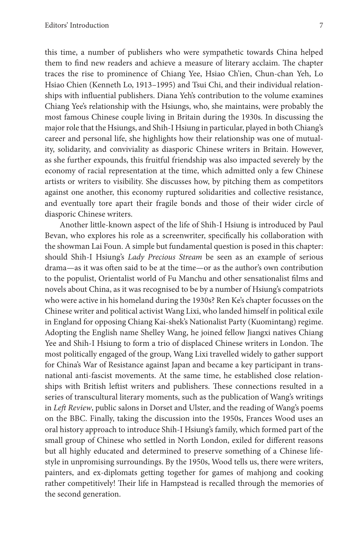this time, a number of publishers who were sympathetic towards China helped them to find new readers and achieve a measure of literary acclaim. The chapter traces the rise to prominence of Chiang Yee, Hsiao Ch'ien, Chun-chan Yeh, Lo Hsiao Chien (Kenneth Lo, 1913–1995) and Tsui Chi, and their individual relationships with influential publishers. Diana Yeh's contribution to the volume examines Chiang Yee's relationship with the Hsiungs, who, she maintains, were probably the most famous Chinese couple living in Britain during the 1930s. In discussing the major role that the Hsiungs, and Shih-I Hsiung in particular, played in both Chiang's career and personal life, she highlights how their relationship was one of mutuality, solidarity, and conviviality as diasporic Chinese writers in Britain. However, as she further expounds, this fruitful friendship was also impacted severely by the economy of racial representation at the time, which admitted only a few Chinese artists or writers to visibility. She discusses how, by pitching them as competitors against one another, this economy ruptured solidarities and collective resistance, and eventually tore apart their fragile bonds and those of their wider circle of diasporic Chinese writers.

Another little-known aspect of the life of Shih-I Hsiung is introduced by Paul Bevan, who explores his role as a screenwriter, specifically his collaboration with the showman Lai Foun. A simple but fundamental question is posed in this chapter: should Shih-I Hsiung's *Lady Precious Stream* be seen as an example of serious drama—as it was often said to be at the time—or as the author's own contribution to the populist, Orientalist world of Fu Manchu and other sensationalist films and novels about China, as it was recognised to be by a number of Hsiung's compatriots who were active in his homeland during the 1930s? Ren Ke's chapter focusses on the Chinese writer and political activist Wang Lixi, who landed himself in political exile in England for opposing Chiang Kai-shek's Nationalist Party (Kuomintang) regime. Adopting the English name Shelley Wang, he joined fellow Jiangxi natives Chiang Yee and Shih-I Hsiung to form a trio of displaced Chinese writers in London. The most politically engaged of the group, Wang Lixi travelled widely to gather support for China's War of Resistance against Japan and became a key participant in transnational anti-fascist movements. At the same time, he established close relationships with British leftist writers and publishers. These connections resulted in a series of transcultural literary moments, such as the publication of Wang's writings in *Left Review*, public salons in Dorset and Ulster, and the reading of Wang's poems on the BBC. Finally, taking the discussion into the 1950s, Frances Wood uses an oral history approach to introduce Shih-I Hsiung's family, which formed part of the small group of Chinese who settled in North London, exiled for different reasons but all highly educated and determined to preserve something of a Chinese lifestyle in unpromising surroundings. By the 1950s, Wood tells us, there were writers, painters, and ex-diplomats getting together for games of mahjong and cooking rather competitively! Their life in Hampstead is recalled through the memories of the second generation.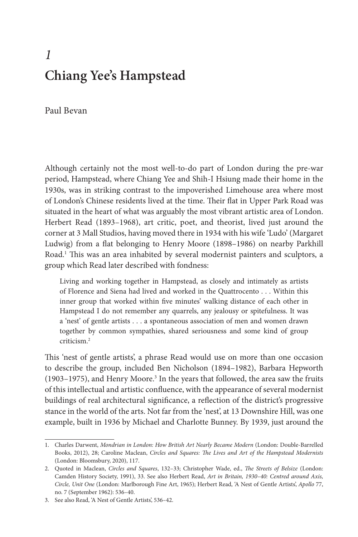# *1* **Chiang Yee's Hampstead**

Paul Bevan

Although certainly not the most well-to-do part of London during the pre-war period, Hampstead, where Chiang Yee and Shih-I Hsiung made their home in the 1930s, was in striking contrast to the impoverished Limehouse area where most of London's Chinese residents lived at the time. Their flat in Upper Park Road was situated in the heart of what was arguably the most vibrant artistic area of London. Herbert Read (1893–1968), art critic, poet, and theorist, lived just around the corner at 3 Mall Studios, having moved there in 1934 with his wife 'Ludo' (Margaret Ludwig) from a flat belonging to Henry Moore (1898–1986) on nearby Parkhill Road.1 This was an area inhabited by several modernist painters and sculptors, a group which Read later described with fondness:

Living and working together in Hampstead, as closely and intimately as artists of Florence and Siena had lived and worked in the Quattrocento . . . Within this inner group that worked within five minutes' walking distance of each other in Hampstead I do not remember any quarrels, any jealousy or spitefulness. It was a 'nest' of gentle artists . . . a spontaneous association of men and women drawn together by common sympathies, shared seriousness and some kind of group criticism.2

This 'nest of gentle artists', a phrase Read would use on more than one occasion to describe the group, included Ben Nicholson (1894–1982), Barbara Hepworth (1903-1975), and Henry Moore.<sup>3</sup> In the years that followed, the area saw the fruits of this intellectual and artistic confluence, with the appearance of several modernist buildings of real architectural significance, a reflection of the district's progressive stance in the world of the arts. Not far from the 'nest', at 13 Downshire Hill, was one example, built in 1936 by Michael and Charlotte Bunney. By 1939, just around the

<sup>1.</sup> Charles Darwent, *Mondrian in London: How British Art Nearly Became Modern* (London: Double-Barrelled Books, 2012), 28; Caroline Maclean, *Circles and Squares: The Lives and Art of the Hampstead Modernists* (London: Bloomsbury, 2020), 117.

<sup>2.</sup> Quoted in Maclean, *Circles and Squares*, 132–33; Christopher Wade, ed., *The Streets of Belsize* (London: Camden History Society, 1991), 33. See also Herbert Read, *Art in Britain, 1930–40: Centred around Axis, Circle, Unit One* (London: Marlborough Fine Art, 1965); Herbert Read, 'A Nest of Gentle Artists', *Apollo* 77, no. 7 (September 1962): 536–40.

<sup>3.</sup> See also Read, 'A Nest of Gentle Artists', 536–42.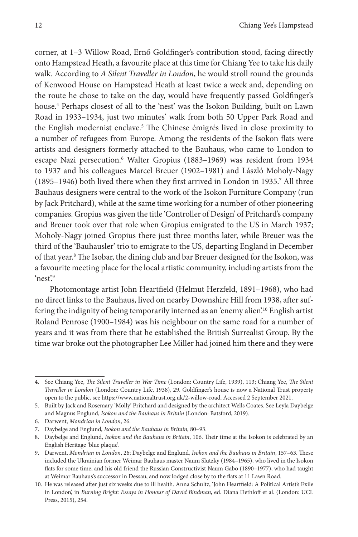corner, at 1–3 Willow Road, Ernő Goldfinger's contribution stood, facing directly onto Hampstead Heath, a favourite place at this time for Chiang Yee to take his daily walk. According to *A Silent Traveller in London*, he would stroll round the grounds of Kenwood House on Hampstead Heath at least twice a week and, depending on the route he chose to take on the day, would have frequently passed Goldfinger's house.4 Perhaps closest of all to the 'nest' was the Isokon Building, built on Lawn Road in 1933–1934, just two minutes' walk from both 50 Upper Park Road and the English modernist enclave.<sup>5</sup> The Chinese émigrés lived in close proximity to a number of refugees from Europe. Among the residents of the Isokon flats were artists and designers formerly attached to the Bauhaus, who came to London to escape Nazi persecution.<sup>6</sup> Walter Gropius (1883-1969) was resident from 1934 to 1937 and his colleagues Marcel Breuer (1902–1981) and László Moholy-Nagy (1895–1946) both lived there when they first arrived in London in 1935.<sup>7</sup> All three Bauhaus designers were central to the work of the Isokon Furniture Company (run by Jack Pritchard), while at the same time working for a number of other pioneering companies. Gropius was given the title 'Controller of Design' of Pritchard's company and Breuer took over that role when Gropius emigrated to the US in March 1937; Moholy-Nagy joined Gropius there just three months later, while Breuer was the third of the 'Bauhausler' trio to emigrate to the US, departing England in December of that year.8 The Isobar, the dining club and bar Breuer designed for the Isokon, was a favourite meeting place for the local artistic community, including artists from the 'nest'.9

Photomontage artist John Heartfield (Helmut Herzfeld, 1891–1968), who had no direct links to the Bauhaus, lived on nearby Downshire Hill from 1938, after suffering the indignity of being temporarily interned as an 'enemy alien'.10 English artist Roland Penrose (1900–1984) was his neighbour on the same road for a number of years and it was from there that he established the British Surrealist Group. By the time war broke out the photographer Lee Miller had joined him there and they were

<sup>4.</sup> See Chiang Yee, *The Silent Traveller in War Time* (London: Country Life, 1939), 113; Chiang Yee, *The Silent Traveller in London* (London: Country Life, 1938), 29. Goldfinger's house is now a National Trust property open to the public, see https://www.nationaltrust.org.uk/2-willow-road. Accessed 2 September 2021.

<sup>5.</sup> Built by Jack and Rosemary 'Molly' Pritchard and designed by the architect Wells Coates. See Leyla Daybelge and Magnus Englund, *Isokon and the Bauhaus in Britain* (London: Batsford, 2019).

<sup>6.</sup> Darwent, *Mondrian in London*, 26.

<sup>7.</sup> Daybelge and Englund, *Isokon and the Bauhaus in Britain*, 80–93.

<sup>8.</sup> Daybelge and Englund, *Isokon and the Bauhaus in Britain*, 106. Their time at the Isokon is celebrated by an English Heritage 'blue plaque'.

<sup>9.</sup> Darwent, *Mondrian in London*, 26; Daybelge and Englund, *Isokon and the Bauhaus in Britain*, 157–63. These included the Ukrainian former Weimar Bauhaus master Naum Slutzky (1984–1965), who lived in the Isokon flats for some time, and his old friend the Russian Constructivist Naum Gabo (1890–1977), who had taught at Weimar Bauhaus's successor in Dessau, and now lodged close by to the flats at 11 Lawn Road.

<sup>10.</sup> He was released after just six weeks due to ill health. Anna Schultz, 'John Heartfield: A Political Artist's Exile in London', in *Burning Bright: Essays in Honour of David Bindman*, ed. Diana Dethloff et al. (London: UCL Press, 2015), 254.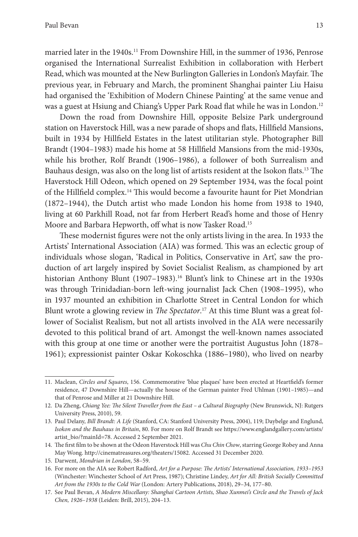married later in the 1940s.<sup>11</sup> From Downshire Hill, in the summer of 1936, Penrose organised the International Surrealist Exhibition in collaboration with Herbert Read, which was mounted at the New Burlington Galleries in London's Mayfair. The previous year, in February and March, the prominent Shanghai painter Liu Haisu had organised the 'Exhibition of Modern Chinese Painting' at the same venue and was a guest at Hsiung and Chiang's Upper Park Road flat while he was in London.<sup>12</sup>

Down the road from Downshire Hill, opposite Belsize Park underground station on Haverstock Hill, was a new parade of shops and flats, Hillfield Mansions, built in 1934 by Hillfield Estates in the latest utilitarian style. Photographer Bill Brandt (1904–1983) made his home at 58 Hillfield Mansions from the mid-1930s, while his brother, Rolf Brandt (1906–1986), a follower of both Surrealism and Bauhaus design, was also on the long list of artists resident at the Isokon flats.<sup>13</sup> The Haverstock Hill Odeon, which opened on 29 September 1934, was the focal point of the Hillfield complex.14 This would become a favourite haunt for Piet Mondrian (1872–1944), the Dutch artist who made London his home from 1938 to 1940, living at 60 Parkhill Road, not far from Herbert Read's home and those of Henry Moore and Barbara Hepworth, off what is now Tasker Road.15

These modernist figures were not the only artists living in the area. In 1933 the Artists' International Association (AIA) was formed. This was an eclectic group of individuals whose slogan, 'Radical in Politics, Conservative in Art', saw the production of art largely inspired by Soviet Socialist Realism, as championed by art historian Anthony Blunt (1907–1983).<sup>16</sup> Blunt's link to Chinese art in the 1930s was through Trinidadian-born left-wing journalist Jack Chen (1908–1995), who in 1937 mounted an exhibition in Charlotte Street in Central London for which Blunt wrote a glowing review in *The Spectator*. 17 At this time Blunt was a great follower of Socialist Realism, but not all artists involved in the AIA were necessarily devoted to this political brand of art. Amongst the well-known names associated with this group at one time or another were the portraitist Augustus John (1878– 1961); expressionist painter Oskar Kokoschka (1886–1980), who lived on nearby

<sup>11.</sup> Maclean, *Circles and Squares*, 156. Commemorative 'blue plaques' have been erected at Heartfield's former residence, 47 Downshire Hill—actually the house of the German painter Fred Uhlman (1901*–*1985)—and that of Penrose and Miller at 21 Downshire Hill.

<sup>12.</sup> Da Zheng, *Chiang Yee: The Silent Traveller from the East – a Cultural Biography* (New Brunswick, NJ: Rutgers University Press, 2010), 59.

<sup>13.</sup> Paul Delany, *Bill Brandt: A Life* (Stanford, CA: Stanford University Press, 2004), 119; Daybelge and Englund, *Isokon and the Bauhaus in Britain*, 80. For more on Rolf Brandt see https://www.englandgallery.com/artists/ artist\_bio/?mainId=78. Accessed 2 September 2021.

<sup>14.</sup> The first film to be shown at the Odeon Haverstock Hill was *Chu Chin Chow*, starring George Robey and Anna May Wong. http://cinematreasures.org/theaters/15082. Accessed 31 December 2020.

<sup>15.</sup> Darwent, *Mondrian in London*, 58–59.

<sup>16.</sup> For more on the AIA see Robert Radford, *Art for a Purpose: The Artists' International Association, 1933–1953* (Winchester: Winchester School of Art Press, 1987); Christine Lindey, *Art for All: British Socially Committed Art from the 1930s to the Cold War* (London: Artery Publications, 2018), 29–34, 177–80.

<sup>17.</sup> See Paul Bevan, *A Modern Miscellany: Shanghai Cartoon Artists, Shao Xunmei's Circle and the Travels of Jack Chen, 1926–1938* (Leiden: Brill, 2015), 204–13.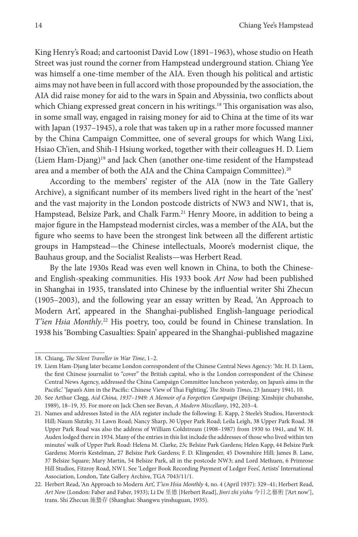King Henry's Road; and cartoonist David Low (1891–1963), whose studio on Heath Street was just round the corner from Hampstead underground station. Chiang Yee was himself a one-time member of the AIA. Even though his political and artistic aims may not have been in full accord with those propounded by the association, the AIA did raise money for aid to the wars in Spain and Abyssinia, two conflicts about which Chiang expressed great concern in his writings.<sup>18</sup> This organisation was also, in some small way, engaged in raising money for aid to China at the time of its war with Japan (1937–1945), a role that was taken up in a rather more focussed manner by the China Campaign Committee, one of several groups for which Wang Lixi, Hsiao Ch'ien, and Shih-I Hsiung worked, together with their colleagues H. D. Liem (Liem Ham-Djang)19 and Jack Chen (another one-time resident of the Hampstead area and a member of both the AIA and the China Campaign Committee).<sup>20</sup>

According to the members' register of the AIA (now in the Tate Gallery Archive), a significant number of its members lived right in the heart of the 'nest' and the vast majority in the London postcode districts of NW3 and NW1, that is, Hampstead, Belsize Park, and Chalk Farm.<sup>21</sup> Henry Moore, in addition to being a major figure in the Hampstead modernist circles, was a member of the AIA, but the figure who seems to have been the strongest link between all the different artistic groups in Hampstead—the Chinese intellectuals, Moore's modernist clique, the Bauhaus group, and the Socialist Realists—was Herbert Read.

By the late 1930s Read was even well known in China, to both the Chineseand English-speaking communities. His 1933 book *Art Now* had been published in Shanghai in 1935, translated into Chinese by the influential writer Shi Zhecun (1905–2003), and the following year an essay written by Read, 'An Approach to Modern Art', appeared in the Shanghai-published English-language periodical *T'ien Hsia Monthly*. 22 His poetry, too, could be found in Chinese translation. In 1938 his 'Bombing Casualties: Spain' appeared in the Shanghai-published magazine

<sup>18.</sup> Chiang, *The Silent Traveller in War Time*, 1–2.

<sup>19.</sup> Liem Ham-Djang later became London correspondent of the Chinese Central News Agency: 'Mr. H. D. Liem, the first Chinese journalist to "cover" the British capital, who is the London correspondent of the Chinese Central News Agency, addressed the China Campaign Committee luncheon yesterday, on Japan's aims in the Pacific.' 'Japan's Aim in the Pacific: Chinese View of Thai Fighting', *The Straits Times*, 23 January 1941, 10.

<sup>20.</sup> See Arthur Clegg, *Aid China, 1937–1949: A Memoir of a Forgotten Campaign* (Beijing: Xinshijie chubanshe, 1989), 18–19, 35. For more on Jack Chen see Bevan, *A Modern Miscellany*, 192, 203–4.

<sup>21.</sup> Names and addresses listed in the AIA register include the following: E. Kapp, 2 Steele's Studios, Haverstock Hill; Naum Slutzky, 31 Lawn Road; Nancy Sharp, 30 Upper Park Road; Leila Leigh, 38 Upper Park Road. 38 Upper Park Road was also the address of William Coldstream (1908–1987) from 1930 to 1941, and W. H. Auden lodged there in 1934. Many of the entries in this list include the addresses of those who lived within ten minutes' walk of Upper Park Road: Helena M. Clarke, 23c Belsize Park Gardens; Helen Kapp, 44 Belsize Park Gardens; Morris Kestelman, 27 Belsize Park Gardens; F. D. Klingender, 45 Downshire Hill; James B. Lane, 37 Belsize Square; Mary Martin, 54 Belsize Park, all in the postcode NW3; and Lord Methuen, 6 Primrose Hill Studios, Fitzroy Road, NW1. See 'Ledger Book Recording Payment of Ledger Fees', Artists' International Association, London, Tate Gallery Archive, TGA 7043/11/1.

<sup>22.</sup> Herbert Read, 'An Approach to Modern Art', *T'ien Hsia Monthly* 4, no. 4 (April 1937): 329–41; Herbert Read, *Art Now* (London: Faber and Faber, 1933); Li De 里德 [Herbert Read], *Jinri zhi yishu* 今日之藝術 ['Art now'], trans. Shi Zhecun 施蟄存 (Shanghai: Shangwu yinshuguan, 1935).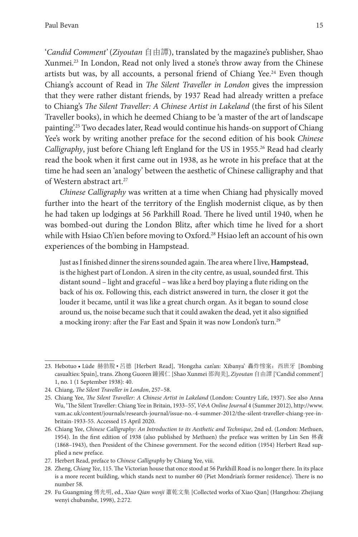'*Candid Comment'* (*Ziyoutan* 自由譚), translated by the magazine's publisher, Shao Xunmei.23 In London, Read not only lived a stone's throw away from the Chinese artists but was, by all accounts, a personal friend of Chiang Yee.<sup>24</sup> Even though Chiang's account of Read in *The Silent Traveller in London* gives the impression that they were rather distant friends, by 1937 Read had already written a preface to Chiang's *The Silent Traveller: A Chinese Artist in Lakeland* (the first of his Silent Traveller books), in which he deemed Chiang to be 'a master of the art of landscape painting<sup>'25</sup> Two decades later, Read would continue his hands-on support of Chiang Yee's work by writing another preface for the second edition of his book *Chinese Calligraphy*, just before Chiang left England for the US in 1955.<sup>26</sup> Read had clearly read the book when it first came out in 1938, as he wrote in his preface that at the time he had seen an 'analogy' between the aesthetic of Chinese calligraphy and that of Western abstract art.<sup>27</sup>

*Chinese Calligraphy* was written at a time when Chiang had physically moved further into the heart of the territory of the English modernist clique, as by then he had taken up lodgings at 56 Parkhill Road. There he lived until 1940, when he was bombed-out during the London Blitz, after which time he lived for a short while with Hsiao Ch'ien before moving to Oxford.<sup>28</sup> Hsiao left an account of his own experiences of the bombing in Hampstead.

Just as I finished dinner the sirens sounded again. The area where I live, **Hampstead**, is the highest part of London. A siren in the city centre, as usual, sounded first. This distant sound – light and graceful – was like a herd boy playing a flute riding on the back of his ox. Following this, each district answered in turn, the closer it got the louder it became, until it was like a great church organ. As it began to sound close around us, the noise became such that it could awaken the dead, yet it also signified a mocking irony: after the Far East and Spain it was now London's turn.<sup>29</sup>

<sup>23.</sup> Hebotuo • Lüde 赫勃脫 • 呂德 [Herbert Read], 'Hongzha can'an: Xibanya' 轟炸慘案:西班牙 [Bombing casualties: Spain], trans. Zhong Guoren 鐘國仁 [Shao Xunmei 邵洵美], *Ziyoutan* 自由譚 ['Candid comment'] 1, no. 1 (1 September 1938): 40.

<sup>24.</sup> Chiang, *The Silent Traveller in London*, 257–58.

<sup>25.</sup> Chiang Yee, *The Silent Traveller: A Chinese Artist in Lakeland* (London: Country Life, 1937). See also Anna Wu, 'The Silent Traveller: Chiang Yee in Britain, 1933–55', *V&A Online Journal* 4 (Summer 2012), http://www. vam.ac.uk/content/journals/research-journal/issue-no.-4-summer-2012/the-silent-traveller-chiang-yee-inbritain-1933-55. Accessed 15 April 2020.

<sup>26.</sup> Chiang Yee, *Chinese Calligraphy: An Introduction to its Aesthetic and Technique*, 2nd ed. (London: Methuen, 1954). In the first edition of 1938 (also published by Methuen) the preface was written by Lin Sen 林森 (1868–1943), then President of the Chinese government. For the second edition (1954) Herbert Read supplied a new preface.

<sup>27.</sup> Herbert Read, preface to *Chinese Calligraphy* by Chiang Yee, viii.

<sup>28.</sup> Zheng, *Chiang Yee*, 115. The Victorian house that once stood at 56 Parkhill Road is no longer there. In its place is a more recent building, which stands next to number 60 (Piet Mondrian's former residence). There is no number 58.

<sup>29.</sup> Fu Guangming 傅光明, ed., *Xiao Qian wenji* 蕭乾文集 [Collected works of Xiao Qian] (Hangzhou: Zhejiang wenyi chubanshe, 1998), 2:272.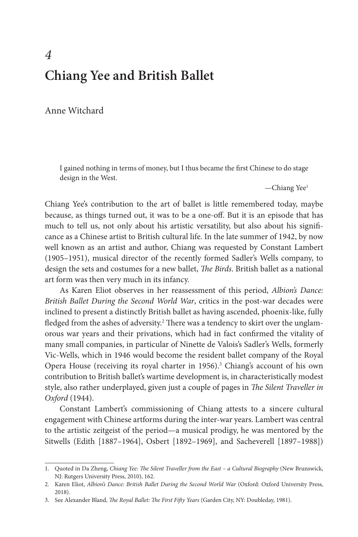### *4* **Chiang Yee and British Ballet**

Anne Witchard

I gained nothing in terms of money, but I thus became the first Chinese to do stage design in the West.

—Chiang Yee1

Chiang Yee's contribution to the art of ballet is little remembered today, maybe because, as things turned out, it was to be a one-off. But it is an episode that has much to tell us, not only about his artistic versatility, but also about his significance as a Chinese artist to British cultural life. In the late summer of 1942, by now well known as an artist and author, Chiang was requested by Constant Lambert (1905–1951), musical director of the recently formed Sadler's Wells company, to design the sets and costumes for a new ballet, *The Birds*. British ballet as a national art form was then very much in its infancy.

As Karen Eliot observes in her reassessment of this period, *Albion's Dance: British Ballet During the Second World War*, critics in the post-war decades were inclined to present a distinctly British ballet as having ascended, phoenix-like, fully fledged from the ashes of adversity.<sup>2</sup> There was a tendency to skirt over the unglamorous war years and their privations, which had in fact confirmed the vitality of many small companies, in particular of Ninette de Valois's Sadler's Wells, formerly Vic-Wells, which in 1946 would become the resident ballet company of the Royal Opera House (receiving its royal charter in 1956).<sup>3</sup> Chiang's account of his own contribution to British ballet's wartime development is, in characteristically modest style, also rather underplayed, given just a couple of pages in *The Silent Traveller in Oxford* (1944).

Constant Lambert's commissioning of Chiang attests to a sincere cultural engagement with Chinese artforms during the inter-war years. Lambert was central to the artistic zeitgeist of the period—a musical prodigy, he was mentored by the Sitwells (Edith [1887–1964], Osbert [1892–1969], and Sacheverell [1897–1988])

<sup>1.</sup> Quoted in Da Zheng, *Chiang Yee: The Silent Traveller from the East – a Cultural Biography* (New Brunswick, NJ: Rutgers University Press, 2010), 162.

<sup>2.</sup> Karen Eliot, *Albion's Dance: British Ballet During the Second World War* (Oxford: Oxford University Press, 2018).

<sup>3.</sup> See Alexander Bland, *The Royal Ballet: The First Fifty Years* (Garden City, NY: Doubleday, 1981).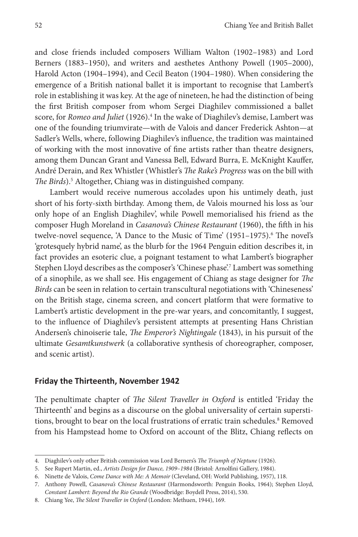and close friends included composers William Walton (1902–1983) and Lord Berners (1883–1950), and writers and aesthetes Anthony Powell (1905–2000), Harold Acton (1904–1994), and Cecil Beaton (1904–1980). When considering the emergence of a British national ballet it is important to recognise that Lambert's role in establishing it was key. At the age of nineteen, he had the distinction of being the first British composer from whom Sergei Diaghilev commissioned a ballet score, for *Romeo and Juliet* (1926).<sup>4</sup> In the wake of Diaghilev's demise, Lambert was one of the founding triumvirate—with de Valois and dancer Frederick Ashton—at Sadler's Wells, where, following Diaghilev's influence, the tradition was maintained of working with the most innovative of fine artists rather than theatre designers, among them Duncan Grant and Vanessa Bell, Edward Burra, E. McKnight Kauffer, André Derain, and Rex Whistler (Whistler's *The Rake's Progress* was on the bill with *The Birds*).5 Altogether, Chiang was in distinguished company.

Lambert would receive numerous accolades upon his untimely death, just short of his forty-sixth birthday. Among them, de Valois mourned his loss as 'our only hope of an English Diaghilev', while Powell memorialised his friend as the composer Hugh Moreland in *Casanova's Chinese Restaurant* (1960), the fifth in his twelve-novel sequence, 'A Dance to the Music of Time' (1951–1975).<sup>6</sup> The novel's 'grotesquely hybrid name', as the blurb for the 1964 Penguin edition describes it, in fact provides an esoteric clue, a poignant testament to what Lambert's biographer Stephen Lloyd describes as the composer's 'Chinese phase'.<sup>7</sup> Lambert was something of a sinophile, as we shall see. His engagement of Chiang as stage designer for *The Birds* can be seen in relation to certain transcultural negotiations with 'Chineseness' on the British stage, cinema screen, and concert platform that were formative to Lambert's artistic development in the pre-war years, and concomitantly, I suggest, to the influence of Diaghilev's persistent attempts at presenting Hans Christian Andersen's chinoiserie tale, *The Emperor's Nightingale* (1843), in his pursuit of the ultimate *Gesamtkunstwerk* (a collaborative synthesis of choreographer, composer, and scenic artist).

#### **Friday the Thirteenth, November 1942**

The penultimate chapter of *The Silent Traveller in Oxford* is entitled 'Friday the Thirteenth' and begins as a discourse on the global universality of certain superstitions, brought to bear on the local frustrations of erratic train schedules.<sup>8</sup> Removed from his Hampstead home to Oxford on account of the Blitz, Chiang reflects on

<sup>4.</sup> Diaghilev's only other British commission was Lord Berners's *The Triumph of Neptune* (1926).

<sup>5.</sup> See Rupert Martin, ed., *Artists Design for Dance, 1909–1984* (Bristol: Arnolfini Gallery, 1984).

<sup>6.</sup> Ninette de Valois, *Come Dance with Me: A Memoir* (Cleveland, OH: World Publishing, 1957), 118.

<sup>7.</sup> Anthony Powell, *Casanova's Chinese Restaurant* (Harmondsworth: Penguin Books, 1964); Stephen Lloyd, *Constant Lambert: Beyond the Rio Grande* (Woodbridge: Boydell Press, 2014), 530.

<sup>8.</sup> Chiang Yee, *The Silent Traveller in Oxford* (London: Methuen, 1944), 169.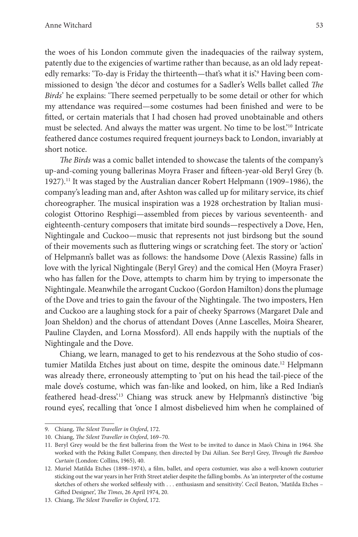the woes of his London commute given the inadequacies of the railway system, patently due to the exigencies of wartime rather than because, as an old lady repeatedly remarks: 'To-day is Friday the thirteenth—that's what it is'.<sup>9</sup> Having been commissioned to design 'the décor and costumes for a Sadler's Wells ballet called *The Birds*' he explains: 'There seemed perpetually to be some detail or other for which my attendance was required—some costumes had been finished and were to be fitted, or certain materials that I had chosen had proved unobtainable and others must be selected. And always the matter was urgent. No time to be lost.'10 Intricate feathered dance costumes required frequent journeys back to London, invariably at short notice.

*The Birds* was a comic ballet intended to showcase the talents of the company's up-and-coming young ballerinas Moyra Fraser and fifteen-year-old Beryl Grey (b. 1927).11 It was staged by the Australian dancer Robert Helpmann (1909–1986), the company's leading man and, after Ashton was called up for military service, its chief choreographer. The musical inspiration was a 1928 orchestration by Italian musicologist Ottorino Resphigi—assembled from pieces by various seventeenth- and eighteenth-century composers that imitate bird sounds—respectively a Dove, Hen, Nightingale and Cuckoo—music that represents not just birdsong but the sound of their movements such as fluttering wings or scratching feet. The story or 'action' of Helpmann's ballet was as follows: the handsome Dove (Alexis Rassine) falls in love with the lyrical Nightingale (Beryl Grey) and the comical Hen (Moyra Fraser) who has fallen for the Dove, attempts to charm him by trying to impersonate the Nightingale. Meanwhile the arrogant Cuckoo (Gordon Hamilton) dons the plumage of the Dove and tries to gain the favour of the Nightingale. The two imposters, Hen and Cuckoo are a laughing stock for a pair of cheeky Sparrows (Margaret Dale and Joan Sheldon) and the chorus of attendant Doves (Anne Lascelles, Moira Shearer, Pauline Clayden, and Lorna Mossford). All ends happily with the nuptials of the Nightingale and the Dove.

Chiang, we learn, managed to get to his rendezvous at the Soho studio of costumier Matilda Etches just about on time, despite the ominous date.<sup>12</sup> Helpmann was already there, erroneously attempting to 'put on his head the tail-piece of the male dove's costume, which was fan-like and looked, on him, like a Red Indian's feathered head-dress'.<sup>13</sup> Chiang was struck anew by Helpmann's distinctive 'big round eyes', recalling that 'once I almost disbelieved him when he complained of

<sup>9.</sup> Chiang, *The Silent Traveller in Oxford*, 172.

<sup>10.</sup> Chiang, *The Silent Traveller in Oxford*, 169–70.

<sup>11.</sup> Beryl Grey would be the first ballerina from the West to be invited to dance in Mao's China in 1964. She worked with the Peking Ballet Company, then directed by Dai Ailian. See Beryl Grey, *Through the Bamboo Curtain* (London: Collins, 1965), 40.

<sup>12.</sup> Muriel Matilda Etches (1898–1974), a film, ballet, and opera costumier, was also a well-known couturier sticking out the war years in her Frith Street atelier despite the falling bombs. As 'an interpreter of the costume sketches of others she worked selflessly with . . . enthusiasm and sensitivity'. Cecil Beaton, 'Matilda Etches – Gifted Designer', *The Times*, 26 April 1974, 20.

<sup>13.</sup> Chiang, *The Silent Traveller in Oxford*, 172.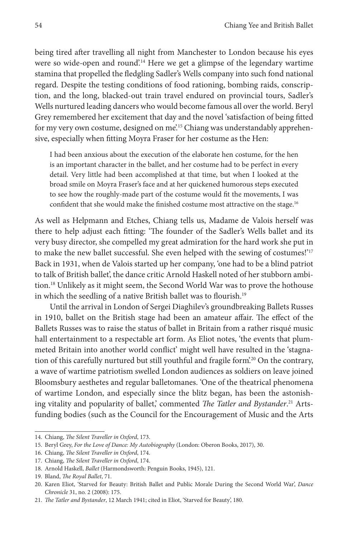being tired after travelling all night from Manchester to London because his eyes were so wide-open and round.<sup>14</sup> Here we get a glimpse of the legendary wartime stamina that propelled the fledgling Sadler's Wells company into such fond national regard. Despite the testing conditions of food rationing, bombing raids, conscription, and the long, blacked-out train travel endured on provincial tours, Sadler's Wells nurtured leading dancers who would become famous all over the world. Beryl Grey remembered her excitement that day and the novel 'satisfaction of being fitted for my very own costume, designed on me'.<sup>15</sup> Chiang was understandably apprehensive, especially when fitting Moyra Fraser for her costume as the Hen:

I had been anxious about the execution of the elaborate hen costume, for the hen is an important character in the ballet, and her costume had to be perfect in every detail. Very little had been accomplished at that time, but when I looked at the broad smile on Moyra Fraser's face and at her quickened humorous steps executed to see how the roughly-made part of the costume would fit the movements, I was confident that she would make the finished costume most attractive on the stage.<sup>16</sup>

As well as Helpmann and Etches, Chiang tells us, Madame de Valois herself was there to help adjust each fitting: 'The founder of the Sadler's Wells ballet and its very busy director, she compelled my great admiration for the hard work she put in to make the new ballet successful. She even helped with the sewing of costumes!'<sup>17</sup> Back in 1931, when de Valois started up her company, 'one had to be a blind patriot to talk of British ballet', the dance critic Arnold Haskell noted of her stubborn ambition.<sup>18</sup> Unlikely as it might seem, the Second World War was to prove the hothouse in which the seedling of a native British ballet was to flourish.<sup>19</sup>

Until the arrival in London of Sergei Diaghilev's groundbreaking Ballets Russes in 1910, ballet on the British stage had been an amateur affair. The effect of the Ballets Russes was to raise the status of ballet in Britain from a rather risqué music hall entertainment to a respectable art form. As Eliot notes, 'the events that plummeted Britain into another world conflict' might well have resulted in the 'stagnation of this carefully nurtured but still youthful and fragile form<sup>20</sup> On the contrary, a wave of wartime patriotism swelled London audiences as soldiers on leave joined Bloomsbury aesthetes and regular balletomanes. 'One of the theatrical phenomena of wartime London, and especially since the blitz began, has been the astonishing vitality and popularity of ballet,' commented *The Tatler and Bystander*. 21 Artsfunding bodies (such as the Council for the Encouragement of Music and the Arts

<sup>14.</sup> Chiang, *The Silent Traveller in Oxford*, 173.

<sup>15.</sup> Beryl Grey, *For the Love of Dance: My Autobiography* (London: Oberon Books, 2017), 30.

<sup>16.</sup> Chiang, *The Silent Traveller in Oxford*, 174.

<sup>17.</sup> Chiang, *The Silent Traveller in Oxford*, 174.

<sup>18.</sup> Arnold Haskell, *Ballet* (Harmondsworth: Penguin Books, 1945), 121.

<sup>19.</sup> Bland, *The Royal Ballet*, 71.

<sup>20.</sup> Karen Eliot, 'Starved for Beauty: British Ballet and Public Morale During the Second World War', *Dance Chronicle* 31, no. 2 (2008): 175.

<sup>21.</sup> *The Tatler and Bystander*, 12 March 1941; cited in Eliot, 'Starved for Beauty', 180.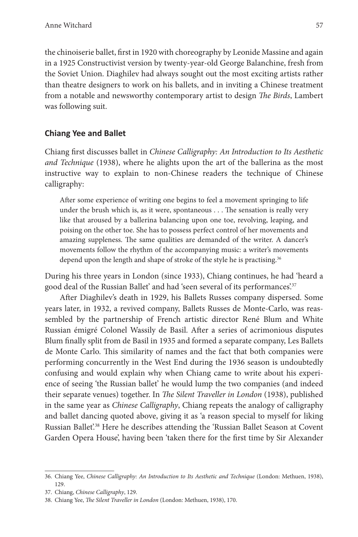the chinoiserie ballet, first in 1920 with choreography by Leonide Massine and again in a 1925 Constructivist version by twenty-year-old George Balanchine, fresh from the Soviet Union. Diaghilev had always sought out the most exciting artists rather than theatre designers to work on his ballets, and in inviting a Chinese treatment from a notable and newsworthy contemporary artist to design *The Birds*, Lambert was following suit.

#### **Chiang Yee and Ballet**

Chiang first discusses ballet in *Chinese Calligraphy: An Introduction to Its Aesthetic and Technique* (1938), where he alights upon the art of the ballerina as the most instructive way to explain to non-Chinese readers the technique of Chinese calligraphy:

After some experience of writing one begins to feel a movement springing to life under the brush which is, as it were, spontaneous . . . The sensation is really very like that aroused by a ballerina balancing upon one toe, revolving, leaping, and poising on the other toe. She has to possess perfect control of her movements and amazing suppleness. The same qualities are demanded of the writer. A dancer's movements follow the rhythm of the accompanying music: a writer's movements depend upon the length and shape of stroke of the style he is practising.<sup>36</sup>

During his three years in London (since 1933), Chiang continues, he had 'heard a good deal of the Russian Ballet' and had 'seen several of its performances'.<sup>37</sup>

After Diaghilev's death in 1929, his Ballets Russes company dispersed. Some years later, in 1932, a revived company, Ballets Russes de Monte-Carlo, was reassembled by the partnership of French artistic director René Blum and White Russian émigré Colonel Wassily de Basil. After a series of acrimonious disputes Blum finally split from de Basil in 1935 and formed a separate company, Les Ballets de Monte Carlo. This similarity of names and the fact that both companies were performing concurrently in the West End during the 1936 season is undoubtedly confusing and would explain why when Chiang came to write about his experience of seeing 'the Russian ballet' he would lump the two companies (and indeed their separate venues) together. In *The Silent Traveller in London* (1938), published in the same year as *Chinese Calligraphy*, Chiang repeats the analogy of calligraphy and ballet dancing quoted above, giving it as 'a reason special to myself for liking Russian Ballet'.<sup>38</sup> Here he describes attending the 'Russian Ballet Season at Covent Garden Opera House', having been 'taken there for the first time by Sir Alexander

<sup>36.</sup> Chiang Yee, *Chinese Calligraphy: An Introduction to Its Aesthetic and Technique* (London: Methuen, 1938), 129.

<sup>37.</sup> Chiang, *Chinese Calligraphy*, 129.

<sup>38.</sup> Chiang Yee, *The Silent Traveller in London* (London: Methuen, 1938), 170.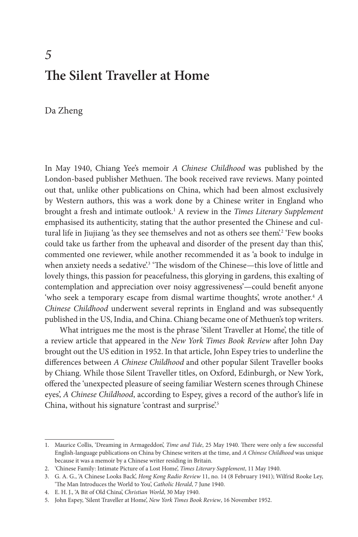# *5* **The Silent Traveller at Home**

#### Da Zheng

In May 1940, Chiang Yee's memoir *A Chinese Childhood* was published by the London-based publisher Methuen. The book received rave reviews. Many pointed out that, unlike other publications on China, which had been almost exclusively by Western authors, this was a work done by a Chinese writer in England who brought a fresh and intimate outlook.1 A review in the *Times Literary Supplement* emphasised its authenticity, stating that the author presented the Chinese and cultural life in Jiujiang 'as they see themselves and not as others see them'.<sup>2</sup> 'Few books could take us farther from the upheaval and disorder of the present day than this', commented one reviewer, while another recommended it as 'a book to indulge in when anxiety needs a sedative'.<sup>3</sup> 'The wisdom of the Chinese—this love of little and lovely things, this passion for peacefulness, this glorying in gardens, this exalting of contemplation and appreciation over noisy aggressiveness'—could benefit anyone 'who seek a temporary escape from dismal wartime thoughts', wrote another.<sup>4</sup> A *Chinese Childhood* underwent several reprints in England and was subsequently published in the US, India, and China. Chiang became one of Methuen's top writers.

What intrigues me the most is the phrase 'Silent Traveller at Home', the title of a review article that appeared in the *New York Times Book Review* after John Day brought out the US edition in 1952. In that article, John Espey tries to underline the differences between *A Chinese Childhood* and other popular Silent Traveller books by Chiang. While those Silent Traveller titles, on Oxford, Edinburgh, or New York, offered the 'unexpected pleasure of seeing familiar Western scenes through Chinese eyes', *A Chinese Childhood*, according to Espey, gives a record of the author's life in China, without his signature 'contrast and surprise'.5

<sup>1.</sup> Maurice Collis, 'Dreaming in Armageddon', *Time and Tide*, 25 May 1940. There were only a few successful English-language publications on China by Chinese writers at the time, and *A Chinese Childhood* was unique because it was a memoir by a Chinese writer residing in Britain.

<sup>2.</sup> 'Chinese Family: Intimate Picture of a Lost Home', *Times Literary Supplement*, 11 May 1940.

<sup>3.</sup> G. A. G., 'A Chinese Looks Back', *Hong Kong Radio Review* 11, no. 14 (8 February 1941); Wilfrid Rooke Ley, 'The Man Introduces the World to You', *Catholic Herald*, 7 June 1940.

<sup>4.</sup> E. H. J., 'A Bit of Old China', *Christian World*, 30 May 1940.

<sup>5.</sup> John Espey, 'Silent Traveller at Home', *New York Times Book Review*, 16 November 1952.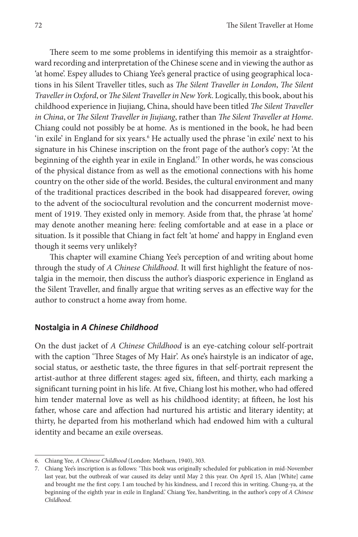There seem to me some problems in identifying this memoir as a straightforward recording and interpretation of the Chinese scene and in viewing the author as 'at home'. Espey alludes to Chiang Yee's general practice of using geographical locations in his Silent Traveller titles, such as *The Silent Traveller in London*, *The Silent Travellerin Oxford*, or *The Silent Travellerin NewYork*. Logically, this book, about his childhood experience in Jiujiang, China, should have been titled *The Silent Traveller in China*, or *The Silent Traveller in Jiujiang*, rather than *The Silent Traveller at Home*. Chiang could not possibly be at home. As is mentioned in the book, he had been 'in exile' in England for six years.<sup>6</sup> He actually used the phrase 'in exile' next to his signature in his Chinese inscription on the front page of the author's copy: 'At the beginning of the eighth year in exile in England.'7 In other words, he was conscious of the physical distance from as well as the emotional connections with his home country on the other side of the world. Besides, the cultural environment and many of the traditional practices described in the book had disappeared forever, owing to the advent of the sociocultural revolution and the concurrent modernist movement of 1919. They existed only in memory. Aside from that, the phrase 'at home' may denote another meaning here: feeling comfortable and at ease in a place or situation. Is it possible that Chiang in fact felt 'at home' and happy in England even though it seems very unlikely?

This chapter will examine Chiang Yee's perception of and writing about home through the study of *A Chinese Childhood*. It will first highlight the feature of nostalgia in the memoir, then discuss the author's diasporic experience in England as the Silent Traveller, and finally argue that writing serves as an effective way for the author to construct a home away from home.

#### **Nostalgia in** *A Chinese Childhood*

On the dust jacket of *A Chinese Childhood* is an eye-catching colour self-portrait with the caption 'Three Stages of My Hair'. As one's hairstyle is an indicator of age, social status, or aesthetic taste, the three figures in that self-portrait represent the artist-author at three different stages: aged six, fifteen, and thirty, each marking a significant turning point in his life. At five, Chiang lost his mother, who had offered him tender maternal love as well as his childhood identity; at fifteen, he lost his father, whose care and affection had nurtured his artistic and literary identity; at thirty, he departed from his motherland which had endowed him with a cultural identity and became an exile overseas.

<sup>6.</sup> Chiang Yee, *A Chinese Childhood* (London: Methuen, 1940), 303.

<sup>7.</sup> Chiang Yee's inscription is as follows: 'This book was originally scheduled for publication in mid-November last year, but the outbreak of war caused its delay until May 2 this year. On April 15, Alan [White] came and brought me the first copy. I am touched by his kindness, and I record this in writing. Chung-ya, at the beginning of the eighth year in exile in England.' Chiang Yee, handwriting, in the author's copy of *A Chinese Childhood*.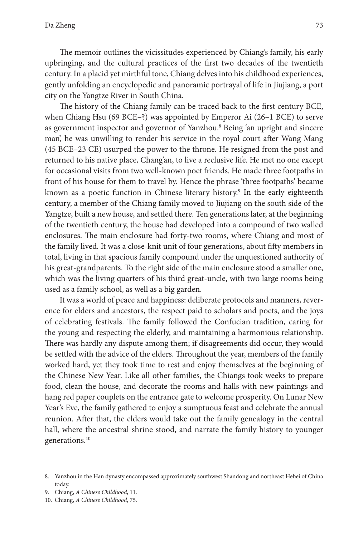The memoir outlines the vicissitudes experienced by Chiang's family, his early upbringing, and the cultural practices of the first two decades of the twentieth century. In a placid yet mirthful tone, Chiang delves into his childhood experiences, gently unfolding an encyclopedic and panoramic portrayal of life in Jiujiang, a port city on the Yangtze River in South China.

The history of the Chiang family can be traced back to the first century BCE, when Chiang Hsu (69 BCE–?) was appointed by Emperor Ai (26–1 BCE) to serve as government inspector and governor of Yanzhou.<sup>8</sup> Being 'an upright and sincere man', he was unwilling to render his service in the royal court after Wang Mang (45 BCE–23 CE) usurped the power to the throne. He resigned from the post and returned to his native place, Chang'an, to live a reclusive life. He met no one except for occasional visits from two well-known poet friends. He made three footpaths in front of his house for them to travel by. Hence the phrase 'three footpaths' became known as a poetic function in Chinese literary history.<sup>9</sup> In the early eighteenth century, a member of the Chiang family moved to Jiujiang on the south side of the Yangtze, built a new house, and settled there. Ten generations later, at the beginning of the twentieth century, the house had developed into a compound of two walled enclosures. The main enclosure had forty-two rooms, where Chiang and most of the family lived. It was a close-knit unit of four generations, about fifty members in total, living in that spacious family compound under the unquestioned authority of his great-grandparents. To the right side of the main enclosure stood a smaller one, which was the living quarters of his third great-uncle, with two large rooms being used as a family school, as well as a big garden.

It was a world of peace and happiness: deliberate protocols and manners, reverence for elders and ancestors, the respect paid to scholars and poets, and the joys of celebrating festivals. The family followed the Confucian tradition, caring for the young and respecting the elderly, and maintaining a harmonious relationship. There was hardly any dispute among them; if disagreements did occur, they would be settled with the advice of the elders. Throughout the year, members of the family worked hard, yet they took time to rest and enjoy themselves at the beginning of the Chinese New Year. Like all other families, the Chiangs took weeks to prepare food, clean the house, and decorate the rooms and halls with new paintings and hang red paper couplets on the entrance gate to welcome prosperity. On Lunar New Year's Eve, the family gathered to enjoy a sumptuous feast and celebrate the annual reunion. After that, the elders would take out the family genealogy in the central hall, where the ancestral shrine stood, and narrate the family history to younger generations.10

<sup>8.</sup> Yanzhou in the Han dynasty encompassed approximately southwest Shandong and northeast Hebei of China today.

<sup>9.</sup> Chiang, *A Chinese Childhood*, 11.

<sup>10.</sup> Chiang, *A Chinese Childhood*, 75.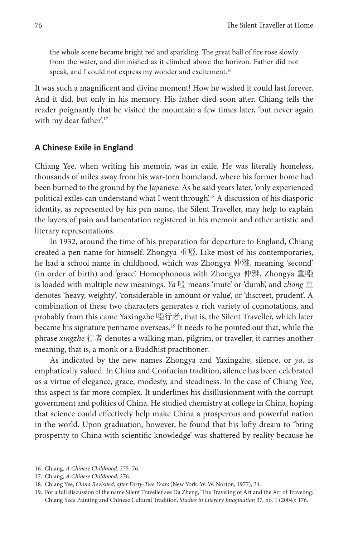the whole scene became bright red and sparkling. The great ball of fire rose slowly from the water, and diminished as it climbed above the horizon. Father did not speak, and I could not express my wonder and excitement.<sup>16</sup>

It was such a magnificent and divine moment! How he wished it could last forever. And it did, but only in his memory. His father died soon after. Chiang tells the reader poignantly that he visited the mountain a few times later, 'but never again with my dear father'.<sup>17</sup>

#### **A Chinese Exile in England**

Chiang Yee, when writing his memoir, was in exile. He was literally homeless, thousands of miles away from his war-torn homeland, where his former home had been burned to the ground by the Japanese. As he said years later, 'only experienced political exiles can understand what I went through'.<sup>18</sup> A discussion of his diasporic identity, as represented by his pen name, the Silent Traveller, may help to explain the layers of pain and lamentation registered in his memoir and other artistic and literary representations.

In 1932, around the time of his preparation for departure to England, Chiang created a pen name for himself: Zhongya 重啞. Like most of his contemporaries, he had a school name in childhood, which was Zhongya 仲雅, meaning 'second' (in order of birth) and 'grace'. Homophonous with Zhongya 仲雅, Zhongya 重啞 is loaded with multiple new meanings. *Ya* 啞 means 'mute' or 'dumb', and *zhong* 重 denotes 'heavy, weighty', 'considerable in amount or value', or 'discreet, prudent'. A combination of these two characters generates a rich variety of connotations, and probably from this came Yaxingzhe 啞行者, that is, the Silent Traveller, which later became his signature penname overseas.19 It needs to be pointed out that, while the phrase *xingzhe* 行者 denotes a walking man, pilgrim, or traveller, it carries another meaning, that is, a monk or a Buddhist practitioner.

As indicated by the new names Zhongya and Yaxingzhe, silence, or *ya*, is emphatically valued. In China and Confucian tradition, silence has been celebrated as a virtue of elegance, grace, modesty, and steadiness. In the case of Chiang Yee, this aspect is far more complex. It underlines his disillusionment with the corrupt government and politics of China. He studied chemistry at college in China, hoping that science could effectively help make China a prosperous and powerful nation in the world. Upon graduation, however, he found that his lofty dream to 'bring prosperity to China with scientific knowledge' was shattered by reality because he

<sup>16.</sup> Chiang, *A Chinese Childhood*, 275–76.

<sup>17.</sup> Chiang, *A Chinese Childhood*, 276.

<sup>18.</sup> Chiang Yee, *China Revisited, after Forty-Two Years* (New York: W. W. Norton, 1977), 34.

<sup>19.</sup> For a full discussion of the name Silent Traveller see Da Zheng, 'The Traveling of Art and the Art of Traveling: Chiang Yee's Painting and Chinese Cultural Tradition', *Studies in Literary Imagination* 37, no. 1 (2004): 176.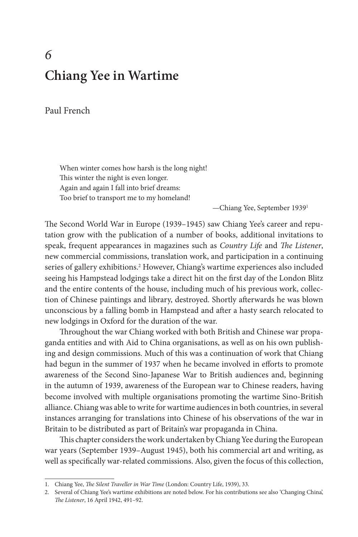### *6* **Chiang Yee in Wartime**

Paul French

When winter comes how harsh is the long night! This winter the night is even longer. Again and again I fall into brief dreams: Too brief to transport me to my homeland!

—Chiang Yee, September 19391

The Second World War in Europe (1939–1945) saw Chiang Yee's career and reputation grow with the publication of a number of books, additional invitations to speak, frequent appearances in magazines such as *Country Life* and *The Listener*, new commercial commissions, translation work, and participation in a continuing series of gallery exhibitions.<sup>2</sup> However, Chiang's wartime experiences also included seeing his Hampstead lodgings take a direct hit on the first day of the London Blitz and the entire contents of the house, including much of his previous work, collection of Chinese paintings and library, destroyed. Shortly afterwards he was blown unconscious by a falling bomb in Hampstead and after a hasty search relocated to new lodgings in Oxford for the duration of the war.

Throughout the war Chiang worked with both British and Chinese war propaganda entities and with Aid to China organisations, as well as on his own publishing and design commissions. Much of this was a continuation of work that Chiang had begun in the summer of 1937 when he became involved in efforts to promote awareness of the Second Sino-Japanese War to British audiences and, beginning in the autumn of 1939, awareness of the European war to Chinese readers, having become involved with multiple organisations promoting the wartime Sino-British alliance. Chiang was able to write for wartime audiences in both countries, in several instances arranging for translations into Chinese of his observations of the war in Britain to be distributed as part of Britain's war propaganda in China.

This chapter considers the work undertaken by Chiang Yee during the European war years (September 1939–August 1945), both his commercial art and writing, as well as specifically war-related commissions. Also, given the focus of this collection,

<sup>1.</sup> Chiang Yee, *The Silent Traveller in War Time* (London: Country Life, 1939), 33.

<sup>2.</sup> Several of Chiang Yee's wartime exhibitions are noted below. For his contributions see also 'Changing China', *The Listener*, 16 April 1942, 491–92.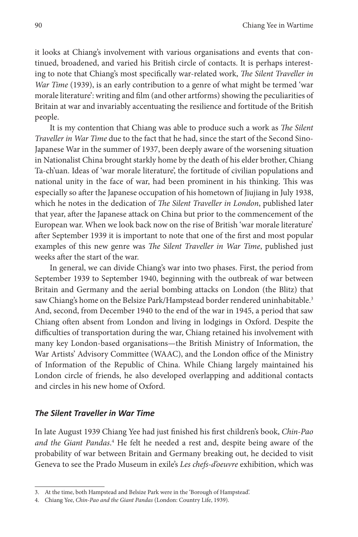it looks at Chiang's involvement with various organisations and events that continued, broadened, and varied his British circle of contacts. It is perhaps interesting to note that Chiang's most specifically war-related work, *The Silent Traveller in War Time* (1939), is an early contribution to a genre of what might be termed 'war morale literature': writing and film (and other artforms) showing the peculiarities of Britain at war and invariably accentuating the resilience and fortitude of the British people.

It is my contention that Chiang was able to produce such a work as *The Silent Traveller in War Time* due to the fact that he had, since the start of the Second Sino-Japanese War in the summer of 1937, been deeply aware of the worsening situation in Nationalist China brought starkly home by the death of his elder brother, Chiang Ta-ch'uan. Ideas of 'war morale literature', the fortitude of civilian populations and national unity in the face of war, had been prominent in his thinking. This was especially so after the Japanese occupation of his hometown of Jiujiang in July 1938, which he notes in the dedication of *The Silent Traveller in London*, published later that year, after the Japanese attack on China but prior to the commencement of the European war. When we look back now on the rise of British 'war morale literature' after September 1939 it is important to note that one of the first and most popular examples of this new genre was *The Silent Traveller in War Time*, published just weeks after the start of the war.

In general, we can divide Chiang's war into two phases. First, the period from September 1939 to September 1940, beginning with the outbreak of war between Britain and Germany and the aerial bombing attacks on London (the Blitz) that saw Chiang's home on the Belsize Park/Hampstead border rendered uninhabitable.<sup>3</sup> And, second, from December 1940 to the end of the war in 1945, a period that saw Chiang often absent from London and living in lodgings in Oxford. Despite the difficulties of transportation during the war, Chiang retained his involvement with many key London-based organisations—the British Ministry of Information, the War Artists' Advisory Committee (WAAC), and the London office of the Ministry of Information of the Republic of China. While Chiang largely maintained his London circle of friends, he also developed overlapping and additional contacts and circles in his new home of Oxford.

#### *The Silent Traveller in War Time*

In late August 1939 Chiang Yee had just finished his first children's book, *Chin-Pao* and the Giant Pandas.<sup>4</sup> He felt he needed a rest and, despite being aware of the probability of war between Britain and Germany breaking out, he decided to visit Geneva to see the Prado Museum in exile's *Les chefs-d'oeuvre* exhibition, which was

<sup>3.</sup> At the time, both Hampstead and Belsize Park were in the 'Borough of Hampstead'.

<sup>4.</sup> Chiang Yee, *Chin-Pao and the Giant Pandas* (London: Country Life, 1939).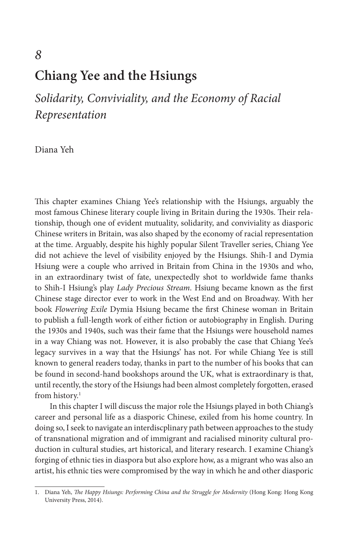# **Chiang Yee and the Hsiungs**

*Solidarity, Conviviality, and the Economy of Racial Representation*

Diana Yeh

*8*

This chapter examines Chiang Yee's relationship with the Hsiungs, arguably the most famous Chinese literary couple living in Britain during the 1930s. Their relationship, though one of evident mutuality, solidarity, and conviviality as diasporic Chinese writers in Britain, was also shaped by the economy of racial representation at the time. Arguably, despite his highly popular Silent Traveller series, Chiang Yee did not achieve the level of visibility enjoyed by the Hsiungs. Shih-I and Dymia Hsiung were a couple who arrived in Britain from China in the 1930s and who, in an extraordinary twist of fate, unexpectedly shot to worldwide fame thanks to Shih-I Hsiung's play *Lady Precious Stream*. Hsiung became known as the first Chinese stage director ever to work in the West End and on Broadway. With her book *Flowering Exile* Dymia Hsiung became the first Chinese woman in Britain to publish a full-length work of either fiction or autobiography in English. During the 1930s and 1940s, such was their fame that the Hsiungs were household names in a way Chiang was not. However, it is also probably the case that Chiang Yee's legacy survives in a way that the Hsiungs' has not. For while Chiang Yee is still known to general readers today, thanks in part to the number of his books that can be found in second-hand bookshops around the UK, what is extraordinary is that, until recently, the story of the Hsiungs had been almost completely forgotten, erased from history.<sup>1</sup>

In this chapter I will discuss the major role the Hsiungs played in both Chiang's career and personal life as a diasporic Chinese, exiled from his home country. In doing so, I seek to navigate an interdiscplinary path between approaches to the study of transnational migration and of immigrant and racialised minority cultural production in cultural studies, art historical, and literary research. I examine Chiang's forging of ethnic ties in diaspora but also explore how, as a migrant who was also an artist, his ethnic ties were compromised by the way in which he and other diasporic

<sup>1.</sup> Diana Yeh, *The Happy Hsiungs: Performing China and the Struggle for Modernity* (Hong Kong: Hong Kong University Press, 2014).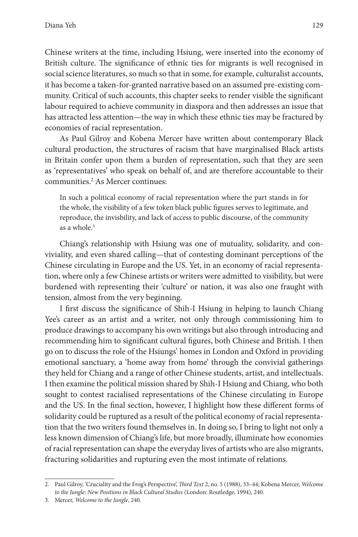Chinese writers at the time, including Hsiung, were inserted into the economy of British culture. The significance of ethnic ties for migrants is well recognised in social science literatures, so much so that in some, for example, culturalist accounts, it has become a taken-for-granted narrative based on an assumed pre-existing community. Critical of such accounts, this chapter seeks to render visible the significant labour required to achieve community in diaspora and then addresses an issue that has attracted less attention—the way in which these ethnic ties may be fractured by economies of racial representation.

As Paul Gilroy and Kobena Mercer have written about contemporary Black cultural production, the structures of racism that have marginalised Black artists in Britain confer upon them a burden of representation, such that they are seen as 'representatives' who speak on behalf of, and are therefore accountable to their communities.2 As Mercer continues:

In such a political economy of racial representation where the part stands in for the whole, the visibility of a few token black public figures serves to legitimate, and reproduce, the invisbility, and lack of access to public discourse, of the community as a whole.<sup>3</sup>

Chiang's relationship with Hsiung was one of mutuality, solidarity, and conviviality, and even shared calling—that of contesting dominant perceptions of the Chinese circulating in Europe and the US. Yet, in an economy of racial representation, where only a few Chinese artists or writers were admitted to visibility, but were burdened with representing their 'culture' or nation, it was also one fraught with tension, almost from the very beginning.

I first discuss the significance of Shih-I Hsiung in helping to launch Chiang Yee's career as an artist and a writer, not only through commissioning him to produce drawings to accompany his own writings but also through introducing and recommending him to significant cultural figures, both Chinese and British. I then go on to discuss the role of the Hsiungs' homes in London and Oxford in providing emotional sanctuary, a 'home away from home' through the convivial gatherings they held for Chiang and a range of other Chinese students, artist, and intellectuals. I then examine the political mission shared by Shih-I Hsiung and Chiang, who both sought to contest racialised representations of the Chinese circulating in Europe and the US. In the final section, however, I highlight how these different forms of solidarity could be ruptured as a result of the political economy of racial representation that the two writers found themselves in. In doing so, I bring to light not only a less known dimension of Chiang's life, but more broadly, illuminate how economies of racial representation can shape the everyday lives of artists who are also migrants, fracturing solidarities and rupturing even the most intimate of relations.

<sup>2.</sup> Paul Gilroy, 'Cruciality and the Frog's Perspective', *Third Text* 2, no. 5 (1988), 33–44; Kobena Mercer, *Welcome to the Jungle: New Positions in Black Cultural Studies* (London: Routledge, 1994), 240.

<sup>3.</sup> Mercer, *Welcome to the Jungle*, 240.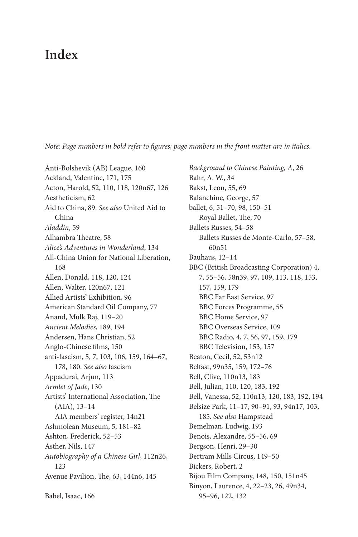### **Index**

*Note: Page numbers in bold refer to figures; page numbers in the front matter are in italics*.

Anti-Bolshevik (AB) League, 160 Ackland, Valentine, 171, 175 Acton, Harold, 52, 110, 118, 120n67, 126 Aestheticism, 62 Aid to China, 89. *See also* United Aid to China *Aladdin*, 59 Alhambra Theatre, 58 *Alice's Adventures in Wonderland*, 134 All-China Union for National Liberation, 168 Allen, Donald, 118, 120, 124 Allen, Walter, 120n67, 121 Allied Artists' Exhibition, 96 American Standard Oil Company, 77 Anand, Mulk Raj, 119–20 *Ancient Melodies*, 189, 194 Andersen, Hans Christian, 52 Anglo-Chinese films, 150 anti-fascism, 5, 7, 103, 106, 159, 164–67, 178, 180. *See also* fascism Appadurai, Arjun, 113 *Armlet of Jade*, 130 Artists' International Association, The (AIA), 13–14 AIA members' register, 14n21 Ashmolean Museum, 5, 181–82 Ashton, Frederick, 52–53 Asther, Nils, 147 *Autobiography of a Chinese Girl*, 112n26, 123 Avenue Pavilion, The, 63, 144n6, 145 Babel, Isaac, 166

*Background to Chinese Painting*, *A*, 26 Bahr, A. W., 34 Bakst, Leon, 55, 69 Balanchine, George, 57 ballet, 6, 51–70, 98, 150–51 Royal Ballet, The, 70 Ballets Russes, 54–58 Ballets Russes de Monte-Carlo, 57–58, 60n51 Bauhaus, 12–14 BBC (British Broadcasting Corporation) 4, 7, 55–56, 58n39, 97, 109, 113, 118, 153, 157, 159, 179 BBC Far East Service, 97 BBC Forces Programme, 55 BBC Home Service, 97 BBC Overseas Service, 109 BBC Radio, 4, 7, 56, 97, 159, 179 BBC Television, 153, 157 Beaton, Cecil, 52, 53n12 Belfast, 99n35, 159, 172–76 Bell, Clive, 110n13, 183 Bell, Julian, 110, 120, 183, 192 Bell, Vanessa, 52, 110n13, 120, 183, 192, 194 Belsize Park, 11–17, 90–91, 93, 94n17, 103, 185. *See also* Hampstead Bemelman, Ludwig, 193 Benois, Alexandre, 55–56, 69 Bergson, Henri, 29–30 Bertram Mills Circus, 149–50 Bickers, Robert, 2 Bijou Film Company, 148, 150, 151n45 Binyon, Laurence, 4, 22–23, 26, 49n34, 95–96, 122, 132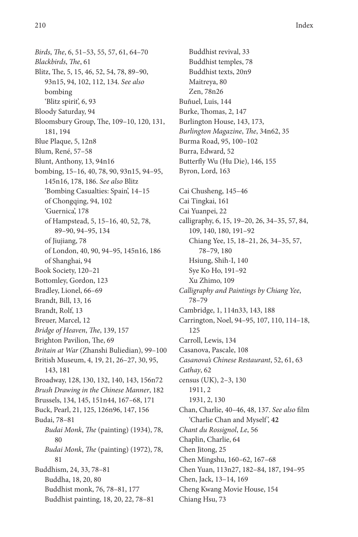*Birds*, *The*, 6, 51–53, 55, 57, 61, 64–70 *Blackbirds*, *The*, 61 Blitz, The, 5, 15, 46, 52, 54, 78, 89–90, 93n15, 94, 102, 112, 134. *See also* bombing 'Blitz spirit', 6, 93 Bloody Saturday, 94 Bloomsbury Group, The, 109–10, 120, 131, 181, 194 Blue Plaque, 5, 12n8 Blum, René, 57–58 Blunt, Anthony, 13, 94n16 bombing, 15–16, 40, 78, 90, 93n15, 94–95, 145n16, 178, 186. *See also* Blitz 'Bombing Casualties: Spain', 14–15 of Chongqing, 94, 102 'Guernica', 178 of Hampstead, 5, 15–16, 40, 52, 78, 89–90, 94–95, 134 of Jiujiang, 78 of London, 40, 90, 94–95, 145n16, 186 of Shanghai, 94 Book Society, 120–21 Bottomley, Gordon, 123 Bradley, Lionel, 66–69 Brandt, Bill, 13, 16 Brandt, Rolf, 13 Breuer, Marcel, 12 *Bridge of Heaven*, *The*, 139, 157 Brighton Pavilion, The, 69 *Britain at War* (Zhanshi Buliedian), 99–100 British Museum, 4, 19, 21, 26–27, 30, 95, 143, 181 Broadway, 128, 130, 132, 140, 143, 156n72 *Brush Drawing in the Chinese Manner*, 182 Brussels, 134, 145, 151n44, 167–68, 171 Buck, Pearl, 21, 125, 126n96, 147, 156 Budai, 78–81 *Budai Monk*, *The* (painting) (1934), 78, 80 *Budai Monk*, *The* (painting) (1972), 78, 81 Buddhism, 24, 33, 78–81 Buddha, 18, 20, 80 Buddhist monk, 76, 78–81, 177 Buddhist painting, 18, 20, 22, 78–81

Buddhist revival, 33 Buddhist temples, 78 Buddhist texts, 20n9 Maitreya, 80 Zen, 78n26 Buñuel, Luis, 144 Burke, Thomas, 2, 147 Burlington House, 143, 173, *Burlington Magazine*, *The*, 34n62, 35 Burma Road, 95, 100–102 Burra, Edward, 52 Butterfly Wu (Hu Die), 146, 155 Byron, Lord, 163 Cai Chusheng, 145–46 Cai Tingkai, 161 Cai Yuanpei, 22 calligraphy, 6, 15, 19–20, 26, 34–35, 57, 84, 109, 140, 180, 191–92 Chiang Yee, 15, 18–21, 26, 34–35, 57, 78–79, 180 Hsiung, Shih-I, 140 Sye Ko Ho, 191–92 Xu Zhimo, 109 *Calligraphy and Paintings by Chiang Yee*, 78–79 Cambridge, 1, 114n33, 143, 188 Carrington, Noel, 94–95, 107, 110, 114–18, 125 Carroll, Lewis, 134 Casanova, Pascale, 108 *Casanova's Chinese Restaurant*, 52, 61, 63 *Cathay*, 62 census (UK), 2–3, 130 1911, 2 1931, 2, 130 Chan, Charlie, 40–46, 48, 137. *See also* film 'Charlie Chan and Myself ', **42** *Chant du Rossignol*, *Le*, 56 Chaplin, Charlie, 64 Chen Jitong, 25 Chen Mingshu, 160–62, 167–68 Chen Yuan, 113n27, 182–84, 187, 194–95 Chen, Jack, 13–14, 169 Cheng Kwang Movie House, 154 Chiang Hsu, 73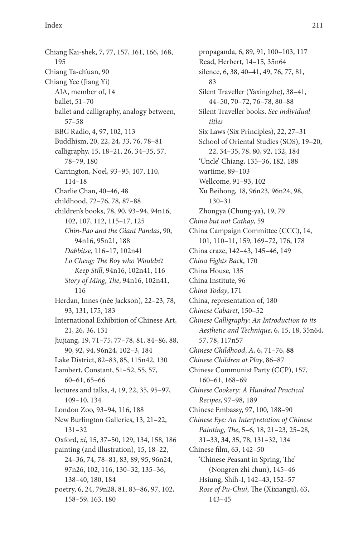Chiang Kai-shek, 7, 77, 157, 161, 166, 168, 195 Chiang Ta-ch'uan, 90 Chiang Yee (Jiang Yi) AIA, member of, 14 ballet, 51–70 ballet and calligraphy, analogy between, 57–58 BBC Radio, 4, 97, 102, 113 Buddhism, 20, 22, 24, 33, 76, 78–81 calligraphy, 15, 18–21, 26, 34–35, 57, 78–79, 180 Carrington, Noel, 93–95, 107, 110, 114–18 Charlie Chan, 40–46, 48 childhood, 72–76, 78, 87–88 children's books, 78, 90, 93–94, 94n16, 102, 107, 112, 115–17, 125 *Chin-Pao and the Giant Pandas*, 90, 94n16, 95n21, 188 *Dabbitse*, 116–17, 102n41 *Lo Cheng: The Boy who Wouldn't Keep Still*, 94n16, 102n41, 116 *Story of Ming*, *The*, 94n16, 102n41, 116 Herdan, Innes (née Jackson), 22–23, 78, 93, 131, 175, 183 International Exhibition of Chinese Art, 21, 26, 36, 131 Jiujiang, 19, 71–75, 77–78, 81, 84–86, 88, 90, 92, 94, 96n24, 102–3, 184 Lake District, 82–83, 85, 115n42, 130 Lambert, Constant, 51–52, 55, 57, 60–61, 65–66 lectures and talks, 4, 19, 22, 35, 95–97, 109–10, 134 London Zoo, 93–94, 116, 188 New Burlington Galleries, 13, 21–22, 131–32 Oxford, *xi*, 15, 37–50, 129, 134, 158, 186 painting (and illustration), 15, 18–22, 24–36, 74, 78–81, 83, 89, 95, 96n24, 97n26, 102, 116, 130–32, 135–36, 138–40, 180, 184 poetry, 6, 24, 79n28, 81, 83–86, 97, 102, 158–59, 163, 180

propaganda, 6, 89, 91, 100–103, 117 Read, Herbert, 14–15, 35n64 silence, 6, 38, 40-41, 49, 76, 77, 81, 83 Silent Traveller (Yaxingzhe), 38–41, 44–50, 70–72, 76–78, 80–88 Silent Traveller books. *See individual titles* Six Laws (Six Principles), 22, 27–31 School of Oriental Studies (SOS), 19–20, 22, 34–35, 78, 80, 92, 132, 184 'Uncle' Chiang, 135–36, 182, 188 wartime, 89–103 Wellcome, 91–93, 102 Xu Beihong, 18, 96n23, 96n24, 98, 130–31 Zhongya (Chung-ya), 19, 79 *China but not Cathay*, 59 China Campaign Committee (CCC), 14, 101, 110–11, 159, 169–72, 176, 178 China craze, 142–43, 145–46, 149 *China Fights Back*, 170 China House, 135 China Institute, 96 *China Today*, 171 China, representation of, 180 *Chinese Cabaret*, 150–52 *Chinese Calligraphy: An Introduction to its Aesthetic and Technique*, 6, 15, 18, 35n64, 57, 78, 117n57 *Chinese Childhood*, *A*, 6, 71–76, **88** *Chinese Children at Play*, 86–87 Chinese Communist Party (CCP), 157, 160–61, 168–69 *Chinese Cookery: A Hundred Practical Recipes*, 97–98, 189 Chinese Embassy, 97, 100, 188–90 *Chinese Eye: An Interpretation of Chinese Painting*, *The*, 5–6, 18, 21–23, 25–28, 31–33, **34**, 35, 78, 131–32, 134 Chinese film, 63, 142–50 'Chinese Peasant in Spring, The' (Nongren zhi chun), 145–46 Hsiung, Shih-I, 142–43, 152–57 *Rose of Pu-Chui*, The (Xixiangji), 63, 143–45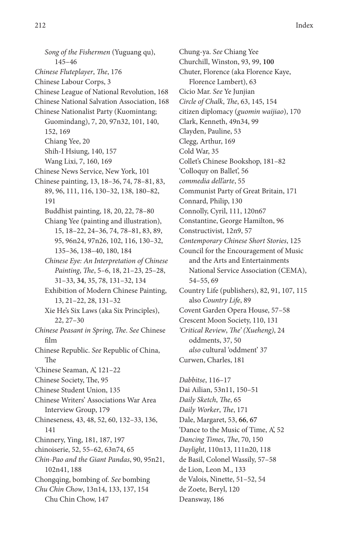*Song of the Fishermen* (Yuguang qu), 145–46 *Chinese Fluteplayer*, *The*, 176 Chinese Labour Corps, 3 Chinese League of National Revolution, 168 Chinese National Salvation Association, 168 Chinese Nationalist Party (Kuomintang; Guomindang), 7, 20, 97n32, 101, 140, 152, 169 Chiang Yee, 20 Shih-I Hsiung, 140, 157 Wang Lixi, 7, 160, 169 Chinese News Service, New York, 101 Chinese painting, 13, 18–36, 74, 78–81, 83, 89, 96, 111, 116, 130–32, 138, 180–82, 191 Buddhist painting, 18, 20, 22, 78–80 Chiang Yee (painting and illustration), 15, 18–22, 24–36, 74, 78–81, 83, 89, 95, 96n24, 97n26, 102, 116, 130–32, 135–36, 138–40, 180, 184 *Chinese Eye: An Interpretation of Chinese Painting*, *The*, 5–6, 18, 21–23, 25–28, 31–33, **34**, 35, 78, 131–32, 134 Exhibition of Modern Chinese Painting, 13, 21–22, 28, 131–32 Xie He's Six Laws (aka Six Principles), 22, 27–30 *Chinese Peasant in Spring*, *The*. *See* Chinese film Chinese Republic. *See* Republic of China, The 'Chinese Seaman, A', 121–22 Chinese Society, The, 95 Chinese Student Union, 135 Chinese Writers' Associations War Area Interview Group, 179 Chineseness, 43, 48, 52, 60, 132–33, 136, 141 Chinnery, Ying, 181, 187, 197 chinoiserie, 52, 55–62, 63n74, 65 *Chin-Pao and the Giant Pandas*, 90, 95n21, 102n41, 188 Chongqing, bombing of. *See* bombing *Chu Chin Chow*, 13n14, 133, 137, 154 Chu Chin Chow, 147

Chung-ya. *See* Chiang Yee Churchill, Winston, 93, 99, **100** Chuter, Florence (aka Florence Kaye, Florence Lambert), 63 Cicio Mar. *See* Ye Junjian *Circle of Chalk*, *The*, 63, 145, 154 citizen diplomacy (*guomin waijiao*), 170 Clark, Kenneth, 49n34, 99 Clayden, Pauline, 53 Clegg, Arthur, 169 Cold War, 35 Collet's Chinese Bookshop, 181–82 'Colloquy on Ballet', 56 *commedia dell'arte*, 55 Communist Party of Great Britain, 171 Connard, Philip, 130 Connolly, Cyril, 111, 120n67 Constantine, George Hamilton, 96 Constructivist, 12n9, 57 *Contemporary Chinese Short Stories*, 125 Council for the Encouragement of Music and the Arts and Entertainments National Service Association (CEMA), 54–55, 69 Country Life (publishers), 82, 91, 107, 115 also *Country Life*, 89 Covent Garden Opera House, 57–58 Crescent Moon Society, 110, 131 *'Critical Review*, *The' (Xueheng)*, 24 oddments, 37, 50 *also* cultural 'oddment' 37 Curwen, Charles, 181

*Dabbitse*, 116–17 Dai Ailian, 53n11, 150–51 *Daily Sketch*, *The*, 65 *Daily Worker*, *The*, 171 Dale, Margaret, 53, **66**, **67** 'Dance to the Music of Time, A', 52 *Dancing Times*, *The*, 70, 150 *Daylight*, 110n13, 111n20, 118 de Basil, Colonel Wassily, 57–58 de Lion, Leon M., 133 de Valois, Ninette, 51–52, 54 de Zoete, Beryl, 120 Deansway, 186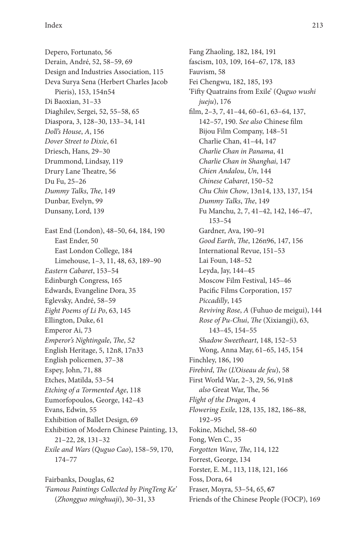Depero, Fortunato, 56 Derain, André, 52, 58–59, 69 Design and Industries Association, 115 Deva Surya Sena (Herbert Charles Jacob Pieris), 153, 154n54 Di Baoxian, 31–33 Diaghilev, Sergei, 52, 55–58, 65 Diaspora, 3, 128–30, 133–34, 141 *Doll's House*, *A*, 156 *Dover Street to Dixie*, 61 Driesch, Hans, 29–30 Drummond, Lindsay, 119 Drury Lane Theatre, 56 Du Fu, 25–26 *Dummy Talks*, *The*, 149 Dunbar, Evelyn, 99 Dunsany, Lord, 139 East End (London), 48–50, 64, 184, 190 East Ender, 50 East London College, 184 Limehouse, 1–3, 11, 48, 63, 189–90 *Eastern Cabaret*, 153–54 Edinburgh Congress, 165 Edwards, Evangeline Dora, 35 Eglevsky, André, 58–59 *Eight Poems of Li Po*, 63, 145 Ellington, Duke, 61 Emperor Ai, 73 *Emperor's Nightingale*, *The*, *52* English Heritage, 5, 12n8, 17n33 English policemen, 37–38 Espey, John, 71, 88 Etches, Matilda, 53–54 *Etching of a Tormented Age*, 118 Eumorfopoulos, George, 142–43 Evans, Edwin, 55 Exhibition of Ballet Design, 69 Exhibition of Modern Chinese Painting, 13, 21–22, 28, 131–32 *Exile and Wars* (*Quguo Cao*), 158–59, 170, 174–77

Fairbanks, Douglas, 62 *'Famous Paintings Collected by PingTeng Ke'* (*Zhongguo minghuaji*), 30–31, 33

Fang Zhaoling, 182, 184, 191 fascism, 103, 109, 164–67, 178, 183 Fauvism, 58 Fei Chengwu, 182, 185, 193 'Fifty Quatrains from Exile' (*Quguo wushi jueju*), 176 film, 2–3, 7, 41–44, 60–61, 63–64, 137, 142–57, 190. *See also* Chinese film Bijou Film Company, 148–51 Charlie Chan, 41–44, 147 *Charlie Chan in Panama*, 41 *Charlie Chan in Shanghai*, 147 *Chien Andalou*, *Un*, 144 *Chinese Cabaret*, 150–52 *Chu Chin Chow*, 13n14, 133, 137, 154 *Dummy Talks*, *The*, 149 Fu Manchu, 2, 7, 41–42, 142, 146–47, 153–54 Gardner, Ava, 190–91 *Good Earth*, *The*, 126n96, 147, 156 International Revue, 151–53 Lai Foun, 148–52 Leyda, Jay, 144–45 Moscow Film Festival, 145–46 Pacific Films Corporation, 157 *Piccadilly*, 145 *Reviving Rose*, *A* (Fuhuo de meigui), 144 *Rose of Pu-Chui*, *The* (Xixiangji), 63, 143–45, 154–55 *Shadow Sweetheart*, 148, 152–53 Wong, Anna May, 61–65, 145, 154 Finchley, 186, 190 *Firebird*, *The* (*L'Oiseau de feu*), 58 First World War, 2–3, 29, 56, 91n8 *also* Great War, The, 56 *Flight of the Dragon*, 4 *Flowering Exile*, 128, 135, 182, 186–88, 192–95 Fokine, Michel, 58–60 Fong, Wen C., 35 *Forgotten Wave*, *The*, 114, 122 Forrest, George, 134 Forster, E. M., 113, 118, 121, 166 Foss, Dora, 64 Fraser, Moyra, 53–54, 65, **67** Friends of the Chinese People (FOCP), 169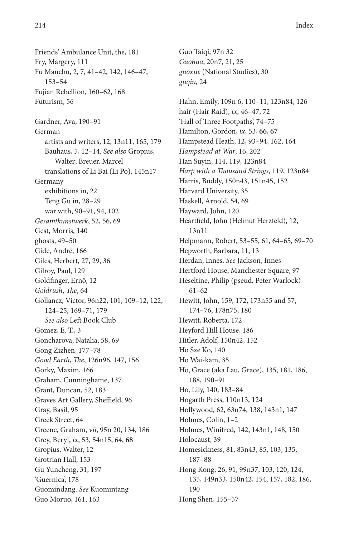Friends' Ambulance Unit, the, 181 Fry, Margery, 111 Fu Manchu, 2, 7, 41–42, 142, 146–47, 153–54 Fujian Rebellion, 160–62, 168 Futurism, 56

Gardner, Ava, 190–91 German artists and writers, 12, 13n11, 165, 179 Bauhaus, 5, 12–14. *See also* Gropius, Walter; Breuer, Marcel translations of Li Bai (Li Po), 145n17 Germany exhibitions in, 22 Teng Gu in, 28–29 war with, 90–91, 94, 102 *Gesamtkunstwerk*, 52, 56, 69 Gest, Morris, 140 ghosts, 49–50 Gide, André, 166 Giles, Herbert, 27, 29, 36 Gilroy, Paul, 129 Goldfinger, Ernő, 12 *Goldrush*, *The*, 64 Gollancz, Victor, 96n22, 101, 109–12, 122, 124–25, 169–71, 179 *See also* Left Book Club Gomez, E. T., 3 Goncharova, Natalia, 58, 69 Gong Zizhen, 177–78 *Good Earth*, *The*, 126n96, 147, 156 Gorky, Maxim, 166 Graham, Cunninghame, 137 Grant, Duncan, 52, 183 Graves Art Gallery, Sheffield, 96 Gray, Basil, 95 Greek Street, 64 Greene, Graham, *vii*, 95n 20, 134, 186 Grey, Beryl, *ix*, 53, 54n15, 64, **68** Gropius, Walter, 12 Grotrian Hall, 153 Gu Yuncheng, 31, 197 'Guernica', 178 Guomindang. *See* Kuomintang Guo Moruo, 161, 163

Guo Taiqi, 97n 32 *Guohua*, 20n7, 21, 25 *guoxue* (National Studies), 30 *guqin*, 24

Hahn, Emily, 109n 6, 110–11, 123n84, 126 hair (Hair Raid), *ix*, 46–47, 72 'Hall of Three Footpaths', 74–75 Hamilton, Gordon, *ix*, 53, **66**, **67** Hampstead Heath, 12, 93–94, 162, 164 *Hampstead at War*, 16, 202 Han Suyin, 114, 119, 123n84 *Harp with a Thousand Strings*, 119, 123n84 Harris, Buddy, 150n43, 151n45, 152 Harvard University, 35 Haskell, Arnold, 54, 69 Hayward, John, 120 Heartfield, John (Helmut Herzfeld), 12, 13n11 Helpmann, Robert, 53–55, 61, 64–65, 69–70 Hepworth, Barbara, 11, 13 Herdan, Innes. *See* Jackson, Innes Hertford House, Manchester Square, 97 Heseltine, Philip (pseud. Peter Warlock) 61–62 Hewitt, John, 159, 172, 173n55 and 57, 174–76, 178n75, 180 Hewitt, Roberta, 172 Heyford Hill House, 186 Hitler, Adolf, 150n42, 152 Ho Sze Ko, 140 Ho Wai-kam, 35 Ho, Grace (aka Lau, Grace), 135, 181, 186, 188, 190–91 Ho, Lily, 140, 183–84 Hogarth Press, 110n13, 124 Hollywood, 62, 63n74, 138, 143n1, 147 Holmes, Colin, 1–2 Holmes, Winifred, 142, 143n1, 148, 150 Holocaust, 39 Homesickness, 81, 83n43, 85, 103, 135, 187–88 Hong Kong, 26, 91, 99n37, 103, 120, 124, 135, 149n33, 150n42, 154, 157, 182, 186, 190 Hong Shen, 155–57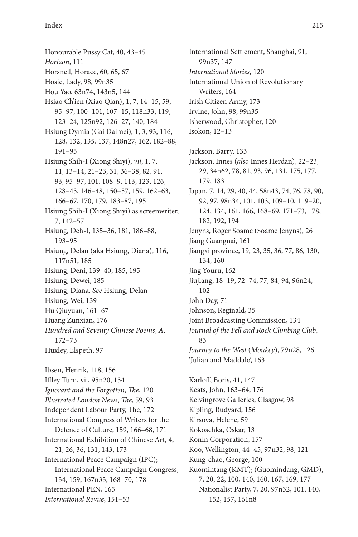Honourable Pussy Cat, 40, 43–45 *Horizon*, 111 Horsnell, Horace, 60, 65, 67 Hosie, Lady, 98, 99n35 Hou Yao, 63n74, 143n5, 144 Hsiao Ch'ien (Xiao Qian), 1, 7, 14–15, 59, 95–97, 100–101, 107–15, 118n33, 119, 123–24, 125n92, 126–27, 140, 184 Hsiung Dymia (Cai Daimei), 1, 3, 93, 116, 128, 132, 135, 137, 148n27, 162, 182–88, 191–95 Hsiung Shih-I (Xiong Shiyi), *vii*, 1, 7, 11, 13–14, 21–23, 31, 36–38, 82, 91, 93, 95–97, 101, 108–9, 113, 123, 126, 128–43, 146–48, 150–57, 159, 162–63, 166–67, 170, 179, 183–87, 195 Hsiung Shih-I (Xiong Shiyi) as screenwriter, 7, 142–57 Hsiung, Deh-I, 135–36, 181, 186–88, 193–95 Hsiung, Delan (aka Hsiung, Diana), 116, 117n51, 185 Hsiung, Deni, 139–40, 185, 195 Hsiung, Dewei, 185 Hsiung, Diana. *See* Hsiung, Delan Hsiung, Wei, 139 Hu Qiuyuan, 161–67 Huang Zunxian, 176 *Hundred and Seventy Chinese Poems*, *A*, 172–73 Huxley, Elspeth, 97

Ibsen, Henrik, 118, 156 Iffley Turn, vii, 95n20, 134 *Ignorant and the Forgotten*, *The*, 120 *Illustrated London News*, *The*, 59, 93 Independent Labour Party, The, 172 International Congress of Writers for the Defence of Culture, 159, 166–68, 171 International Exhibition of Chinese Art, 4, 21, 26, 36, 131, 143, 173 International Peace Campaign (IPC); International Peace Campaign Congress, 134, 159, 167n33, 168–70, 178 International PEN, 165 *International Revue*, 151–53

International Settlement, Shanghai, 91, 99n37, 147 *International Stories*, 120 International Union of Revolutionary Writers, 164 Irish Citizen Army, 173 Irvine, John, 98, 99n35 Isherwood, Christopher, 120 Isokon, 12–13 Jackson, Barry, 133 Jackson, Innes (*also* Innes Herdan), 22–23, 29, 34n62, 78, 81, 93, 96, 131, 175, 177, 179, 183 Japan, 7, 14, 29, 40, 44, 58n43, 74, 76, 78, 90, 92, 97, 98n34, 101, 103, 109–10, 119–20, 124, 134, 161, 166, 168–69, 171–73, 178, 182, 192, 194 Jenyns, Roger Soame (Soame Jenyns), 26 Jiang Guangnai, 161 Jiangxi province, 19, 23, 35, 36, 77, 86, 130, 134, 160 Jing Youru, 162 Jiujiang, 18–19, 72–74, 77, 84, 94, 96n24, 102 John Day, 71 Johnson, Reginald, 35 Joint Broadcasting Commission, 134 *Journal of the Fell and Rock Climbing Club*, 83 *Journey to the West* (*Monkey*), 79n28, 126 'Julian and Maddalo', 163 Karloff, Boris, 41, 147 Keats, John, 163–64, 176 Kelvingrove Galleries, Glasgow, 98 Kipling, Rudyard, 156

Kirsova, Helene, 59 Kokoschka, Oskar, 13 Konin Corporation, 157

Kung-chao, George, 100

152, 157, 161n8

Koo, Wellington, 44–45, 97n32, 98, 121

Kuomintang (KMT); (Guomindang, GMD), 7, 20, 22, 100, 140, 160, 167, 169, 177 Nationalist Party, 7, 20, 97n32, 101, 140,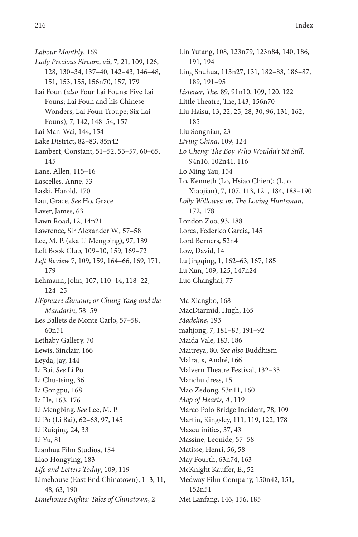*Labour Monthly*, 169 *Lady Precious Stream*, *vii*, 7, 21, 109, 126, 128, 130–34, 137–40, 142–43, 146–48, 151, 153, 155, 156n70, 157, 179 Lai Foun (*also* Four Lai Founs; Five Lai Founs; Lai Foun and his Chinese Wonders; Lai Foun Troupe; Six Lai Founs), 7, 142, 148–54, 157 Lai Man-Wai, 144, 154 Lake District, 82–83, 85n42 Lambert, Constant, 51–52, 55–57, 60–65, 145 Lane, Allen, 115–16 Lascelles, Anne, 53 Laski, Harold, 170 Lau, Grace. *See* Ho, Grace Laver, James, 63 Lawn Road, 12, 14n21 Lawrence, Sir Alexander W., 57–58 Lee, M. P. (aka Li Mengbing), 97, 189 Left Book Club, 109–10, 159, 169–72 *Left Review* 7, 109, 159, 164–66, 169, 171, 179 Lehmann, John, 107, 110–14, 118–22, 124–25 *L'Epreuve d'amour*; *or Chung Yang and the Mandarin*, 58–59 Les Ballets de Monte Carlo, 57–58, 60n51 Lethaby Gallery, 70 Lewis, Sinclair, 166 Leyda, Jay, 144 Li Bai. *See* Li Po Li Chu-tsing, 36 Li Gongpu, 168 Li He, 163, 176 Li Mengbing. *See* Lee, M. P. Li Po (Li Bai), 62–63, 97, 145 Li Ruiqing, 24, 33 Li Yu, 81 Lianhua Film Studios, 154 Liao Hongying, 183 *Life and Letters Today*, 109, 119 Limehouse (East End Chinatown), 1–3, 11, 48, 63, 190 *Limehouse Nights: Tales of Chinatown*, 2

Lin Yutang, 108, 123n79, 123n84, 140, 186, 191, 194 Ling Shuhua, 113n27, 131, 182–83, 186–87, 189, 191–95 *Listener*, *The*, 89, 91n10, 109, 120, 122 Little Theatre, The, 143, 156n70 Liu Haisu, 13, 22, 25, 28, 30, 96, 131, 162, 185 Liu Songnian, 23 *Living China*, 109, 124 *Lo Cheng: The Boy Who Wouldn't Sit Still*, 94n16, 102n41, 116 Lo Ming Yau, 154 Lo, Kenneth (Lo, Hsiao Chien); (Luo Xiaojian), 7, 107, 113, 121, 184, 188–190 *Lolly Willowes*; *or*, *The Loving Huntsman*, 172, 178 London Zoo, 93, 188 Lorca, Federico Garcia, 145 Lord Berners, 52n4 Low, David, 14 Lu Jingqing, 1, 162–63, 167, 185 Lu Xun, 109, 125, 147n24 Luo Changhai, 77 Ma Xiangbo, 168 MacDiarmid, Hugh, 165 *Madeline*, 193 mahjong, 7, 181–83, 191–92

Maida Vale, 183, 186 Maitreya, 80. *See also* Buddhism Malraux, André, 166 Malvern Theatre Festival, 132–33 Manchu dress, 151 Mao Zedong, 53n11, 160 *Map of Hearts*, *A*, 119 Marco Polo Bridge Incident, 78, 109 Martin, Kingsley, 111, 119, 122, 178 Masculinities, 37, 43 Massine, Leonide, 57–58 Matisse, Henri, 56, 58 May Fourth, 63n74, 163 McKnight Kauffer, E., 52 Medway Film Company, 150n42, 151, 152n51

Mei Lanfang, 146, 156, 185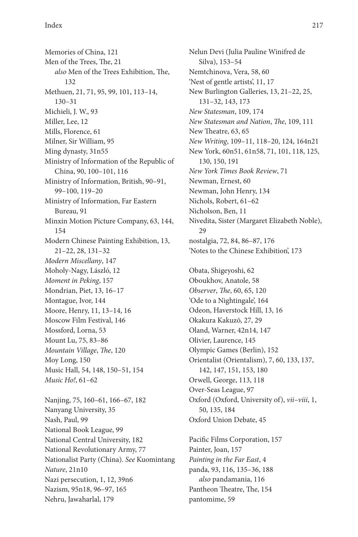Memories of China, 121 Men of the Trees, The, 21 *also* Men of the Trees Exhibition, The, 132 Methuen, 21, 71, 95, 99, 101, 113–14, 130–31 Michieli, J. W., 93 Miller, Lee, 12 Mills, Florence, 61 Milner, Sir William, 95 Ming dynasty, 31n55 Ministry of Information of the Republic of China, 90, 100–101, 116 Ministry of Information, British, 90–91, 99–100, 119–20 Ministry of Information, Far Eastern Bureau, 91 Minxin Motion Picture Company, 63, 144, 154 Modern Chinese Painting Exhibition, 13, 21–22, 28, 131–32 *Modern Miscellany*, 147 Moholy-Nagy, László, 12 *Moment in Peking*, 157 Mondrian, Piet, 13, 16–17 Montague, Ivor, 144 Moore, Henry, 11, 13–14, 16 Moscow Film Festival, 146 Mossford, Lorna, 53 Mount Lu, 75, 83–86 *Mountain Village*, *The*, 120 Moy Long, 150 Music Hall, 54, 148, 150–51, 154 *Music Ho!*, 61–62 Nanjing, 75, 160–61, 166–67, 182 Nanyang University, 35 Nash, Paul, 99 National Book League, 99 National Central University, 182 National Revolutionary Army, 77 Nationalist Party (China). *See* Kuomintang *Nature*, 21n10

Nazi persecution, 1, 12, 39n6 Nazism, 95n18, 96–97, 165 Nehru, Jawaharlal, 179

Nelun Devi (Julia Pauline Winifred de Silva), 153–54 Nemtchinova, Vera, 58, 60 'Nest of gentle artists', 11, 17 New Burlington Galleries, 13, 21–22, 25, 131–32, 143, 173 *New Statesman*, 109, 174 *New Statesman and Nation*, *The*, 109, 111 New Theatre, 63, 65 *New Writing*, 109–11, 118–20, 124, 164n21 New York, 60n51, 61n58, 71, 101, 118, 125, 130, 150, 191 *New York Times Book Review*, 71 Newman, Ernest, 60 Newman, John Henry, 134 Nichols, Robert, 61–62 Nicholson, Ben, 11 Nivedita, Sister (Margaret Elizabeth Noble), 29 nostalgia, 72, 84, 86–87, 176 'Notes to the Chinese Exhibition', 173 Obata, Shigeyoshi, 62 Oboukhov, Anatole, 58 *Observer*, *The*, 60, 65, 120 'Ode to a Nightingale', 164 Odeon, Haverstock Hill, 13, 16 Okakura Kakuzō, 27, 29 Oland, Warner, 42n14, 147 Olivier, Laurence, 145 Olympic Games (Berlin), 152 Orientalist (Orientalism), 7, 60, 133, 137, 142, 147, 151, 153, 180 Orwell, George, 113, 118 Over-Seas League, 97 Oxford (Oxford, University of), *vii–viii*, 1, 50, 135, 184 Oxford Union Debate, 45 Pacific Films Corporation, 157 Painter, Joan, 157

*Painting in the Far East*, 4 panda, 93, 116, 135–36, 188 *also* pandamania, 116 Pantheon Theatre, The, 154 pantomime, 59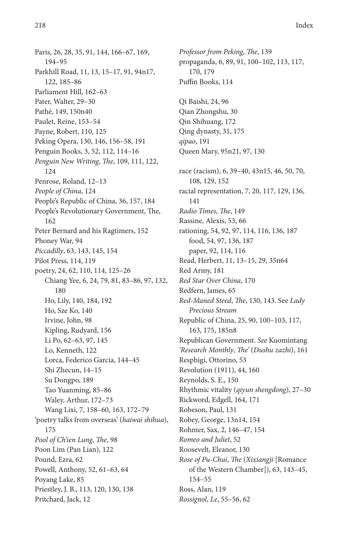Paris, 26, 28, 35, 91, 144, 166–67, 169, 194–95 Parkhill Road, 11, 13, 15–17, 91, 94n17, 122, 185–86 Parliament Hill, 162–63 Pater, Walter, 29–30 Pathé, 149, 150n40 Paulet, Reine, 153–54 Payne, Robert, 110, 125 Peking Opera, 130, 146, 156–58, 191 Penguin Books, 3, 52, 112, 114–16 *Penguin New Writing*, *The*, 109, 111, 122, 124 Penrose, Roland, 12–13 *People of China*, 124 People's Republic of China, 36, 157, 184 People's Revolutionary Government, The, 162 Peter Bernard and his Ragtimers, 152 Phoney War, 94 *Piccadilly*, 63, 143, 145, 154 Pilot Press, 114, 119 poetry, 24, 62, 110, 114, 125–26 Chiang Yee, 6, 24, 79, 81, 83–86, 97, 132, 180 Ho, Lily, 140, 184, 192 Ho, Sze Ko, 140 Irvine, John, 98 Kipling, Rudyard, 156 Li Po, 62–63, 97, 145 Lo, Kenneth, 122 Lorca, Federico Garcia, 144–45 Shi Zhecun, 14–15 Su Dongpo, 189 Tao Yuanming, 85–86 Waley, Arthur, 172–73 Wang Lixi, 7, 158–60, 163, 172–79 'poetry talks from overseas' (*haiwai shihua*), 175 *Pool of Ch'ien Lung*, *The*, 98 Poon Lim (Pan Lian), 122 Pound, Ezra, 62 Powell, Anthony, 52, 61–63, 64 Poyang Lake, 85 Priestley, J. B., 113, 120, 130, 138 Pritchard, Jack, 12

*Professor from Peking*, *The*, 139 propaganda, 6, 89, 91, 100–102, 113, 117, 170, 179 Puffin Books, 114 Qi Baishi, 24, 96 Qian Zhongshu, 30 Qin Shihuang, 172 Qing dynasty, 31, 175 *qipao*, 191 Queen Mary, 95n21, 97, 130 race (racism), 6, 39–40, 43n15, 46, 50, 70, 108, 129, 152 racial representation, 7, 20, 117, 129, 136, 141 *Radio Times*, *The*, 149 Rassine, Alexis, 53, 66 rationing, 54, 92, 97, 114, 116, 136, 187 food, 54, 97, 136, 187 paper, 92, 114, 116 Read, Herbert, 11, 13–15, 29, 35n64 Red Army, 181 *Red Star Over China*, 170 Redfern, James, 65 *Red-Maned Steed*, *The*, 130, 143. See *Lady Precious Stream* Republic of China, 25, 90, 100–103, 117, 163, 175, 185n8 Republican Government. *See* Kuomintang *'Research Monthly*, *The'* (*Dushu zazhi*), 161 Resphigi, Ottorino, 53 Revolution (1911), 44, 160 Reynolds, S. E., 150 Rhythmic vitality (*qiyun shengdong*), 27–30 Rickword, Edgell, 164, 171 Robeson, Paul, 131 Robey, George, 13n14, 154 Rohmer, Sax, 2, 146–47, 154 *Romeo and Juliet*, 52 Roosevelt, Eleanor, 130 *Rose of Pu-Chui*, *The* (*Xixiangji* [Romance of the Western Chamber]), 63, 143–45, 154–55 Ross, Alan, 119 *Rossignol*, *Le*, 55–56, 62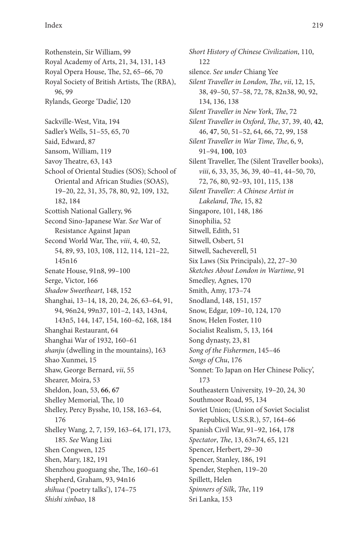Rothenstein, Sir William, 99 Royal Academy of Arts, 21, 34, 131, 143 Royal Opera House, The, 52, 65–66, 70 Royal Society of British Artists, The (RBA), 96, 99 Rylands, George 'Dadie', 120 Sackville-West, Vita, 194 Sadler's Wells, 51–55, 65, 70 Said, Edward, 87 Sansom, William, 119 Savoy Theatre, 63, 143 School of Oriental Studies (SOS); School of Oriental and African Studies (SOAS), 19–20, 22, 31, 35, 78, 80, 92, 109, 132, 182, 184 Scottish National Gallery, 96 Second Sino-Japanese War. *See* War of Resistance Against Japan Second World War, The, *viii*, 4, 40, 52, 54, 89, 93, 103, 108, 112, 114, 121–22, 145n16 Senate House, 91n8, 99–100 Serge, Victor, 166 *Shadow Sweetheart*, 148, 152 Shanghai, 13–14, 18, 20, 24, 26, 63–64, 91, 94, 96n24, 99n37, 101–2, 143, 143n4, 143n5, 144, 147, 154, 160–62, 168, 184 Shanghai Restaurant, 64 Shanghai War of 1932, 160–61 *shanju* (dwelling in the mountains), 163 Shao Xunmei, 15 Shaw, George Bernard, *vii*, 55 Shearer, Moira, 53 Sheldon, Joan, 53, **66**, **67** Shelley Memorial, The, 10 Shelley, Percy Bysshe, 10, 158, 163–64, 176 Shelley Wang, 2, 7, 159, 163–64, 171, 173, 185. *See* Wang Lixi Shen Congwen, 125 Shen, Mary, 182, 191 Shenzhou guoguang she, The, 160–61 Shepherd, Graham, 93, 94n16 *shihua* ('poetry talks'), 174–75 *Shishi xinbao*, 18

*Short History of Chinese Civilization*, 110, 122 silence. *See under* Chiang Yee *Silent Traveller in London*, *The*, *vii*, 12, 15, 38, 49–50, 57–58, 72, 78, 82n38, 90, 92, 134, 136, 138 *Silent Traveller in New York*, *The*, 72 *Silent Traveller in Oxford*, *The*, 37, 39, 40, **42**, 46, **47**, 50, 51–52, 64, 66, 72, 99, 158 *Silent Traveller in War Time*, *The*, 6, 9, 91–94, **100**, 103 Silent Traveller, The (Silent Traveller books), *viii*, 6, 33, 35, 36, 39, 40–41, 44–50, 70, 72, 76, 80, 92–93, 101, 115, 138 *Silent Traveller: A Chinese Artist in Lakeland*, *The*, 15, 82 Singapore, 101, 148, 186 Sinophilia, 52 Sitwell, Edith, 51 Sitwell, Osbert, 51 Sitwell, Sacheverell, 51 Six Laws (Six Principals), 22, 27–30 *Sketches About London in Wartime*, 91 Smedley, Agnes, 170 Smith, Amy, 173–74 Snodland, 148, 151, 157 Snow, Edgar, 109–10, 124, 170 Snow, Helen Foster, 110 Socialist Realism, 5, 13, 164 Song dynasty, 23, 81 *Song of the Fishermen*, 145–46 *Songs of Chu*, 176 'Sonnet: To Japan on Her Chinese Policy', 173 Southeastern University, 19–20, 24, 30 Southmoor Road, 95, 134 Soviet Union; (Union of Soviet Socialist Republics, U.S.S.R.), 57, 164–66 Spanish Civil War, 91–92, 164, 178 *Spectator*, *The*, 13, 63n74, 65, 121 Spencer, Herbert, 29–30 Spencer, Stanley, 186, 191 Spender, Stephen, 119–20 Spillett, Helen *Spinners of Silk*, *The*, 119 Sri Lanka, 153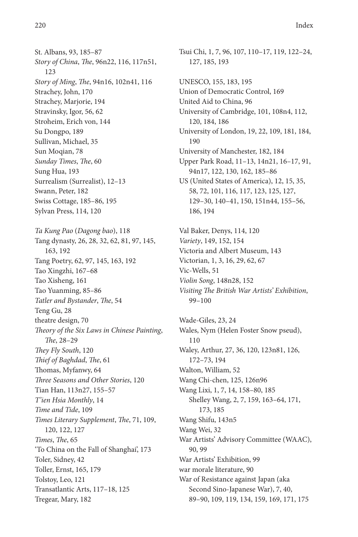St. Albans, 93, 185–87 *Story of China*, *The*, 96n22, 116, 117n51, 123 *Story of Ming*, *The*, 94n16, 102n41, 116 Strachey, John, 170 Strachey, Marjorie, 194 Stravinsky, Igor, 56, 62 Stroheim, Erich von, 144 Su Dongpo, 189 Sullivan, Michael, 35 Sun Moqian, 78 *Sunday Times*, *The*, 60 Sung Hua, 193 Surrealism (Surrealist), 12–13 Swann, Peter, 182 Swiss Cottage, 185–86, 195 Sylvan Press, 114, 120 *Ta Kung Pao* (*Dagong bao*), 118 Tang dynasty, 26, 28, 32, 62, 81, 97, 145, 163, 192 Tang Poetry, 62, 97, 145, 163, 192 Tao Xingzhi, 167–68 Tao Xisheng, 161 Tao Yuanming, 85–86 *Tatler and Bystander*, *The*, 54 Teng Gu, 28 theatre design, 70 *Theory of the Six Laws in Chinese Painting*, *The*, 28–29 *They Fly South*, 120 *Thief of Baghdad*, *The*, 61 Thomas, Myfanwy, 64 *Three Seasons and Other Stories*, 120 Tian Han, 113n27, 155–57 *T'ien Hsia Monthly*, 14 *Time and Tide*, 109 *Times Literary Supplement*, *The*, 71, 109, 120, 122, 127 *Times*, *The*, 65 'To China on the Fall of Shanghai', 173 Toler, Sidney, 42 Toller, Ernst, 165, 179 Tolstoy, Leo, 121 Transatlantic Arts, 117–18, 125 Tregear, Mary, 182

Tsui Chi, 1, 7, 96, 107, 110–17, 119, 122–24, 127, 185, 193 UNESCO, 155, 183, 195 Union of Democratic Control, 169 United Aid to China, 96 University of Cambridge, 101, 108n4, 112, 120, 184, 186 University of London, 19, 22, 109, 181, 184, 190 University of Manchester, 182, 184 Upper Park Road, 11–13, 14n21, 16–17, 91, 94n17, 122, 130, 162, 185–86 US (United States of America), 12, 15, 35, 58, 72, 101, 116, 117, 123, 125, 127, 129–30, 140–41, 150, 151n44, 155–56, 186, 194 Val Baker, Denys, 114, 120 *Variety*, 149, 152, 154 Victoria and Albert Museum, 143 Victorian, 1, 3, 16, 29, 62, 67 Vic-Wells, 51 *Violin Song*, 148n28, 152 *Visiting The British War Artists' Exhibition*, 99–100 Wade-Giles, 23, 24 Wales, Nym (Helen Foster Snow pseud), 110 Waley, Arthur, 27, 36, 120, 123n81, 126, 172–73, 194 Walton, William, 52 Wang Chi-chen, 125, 126n96 Wang Lixi, 1, 7, 14, 158–80, 185 Shelley Wang, 2, 7, 159, 163–64, 171, 173, 185 Wang Shifu, 143n5 Wang Wei, 32 War Artists' Advisory Committee (WAAC), 90, 99 War Artists' Exhibition, 99 war morale literature, 90 War of Resistance against Japan (aka Second Sino-Japanese War), 7, 40, 89–90, 109, 119, 134, 159, 169, 171, 175